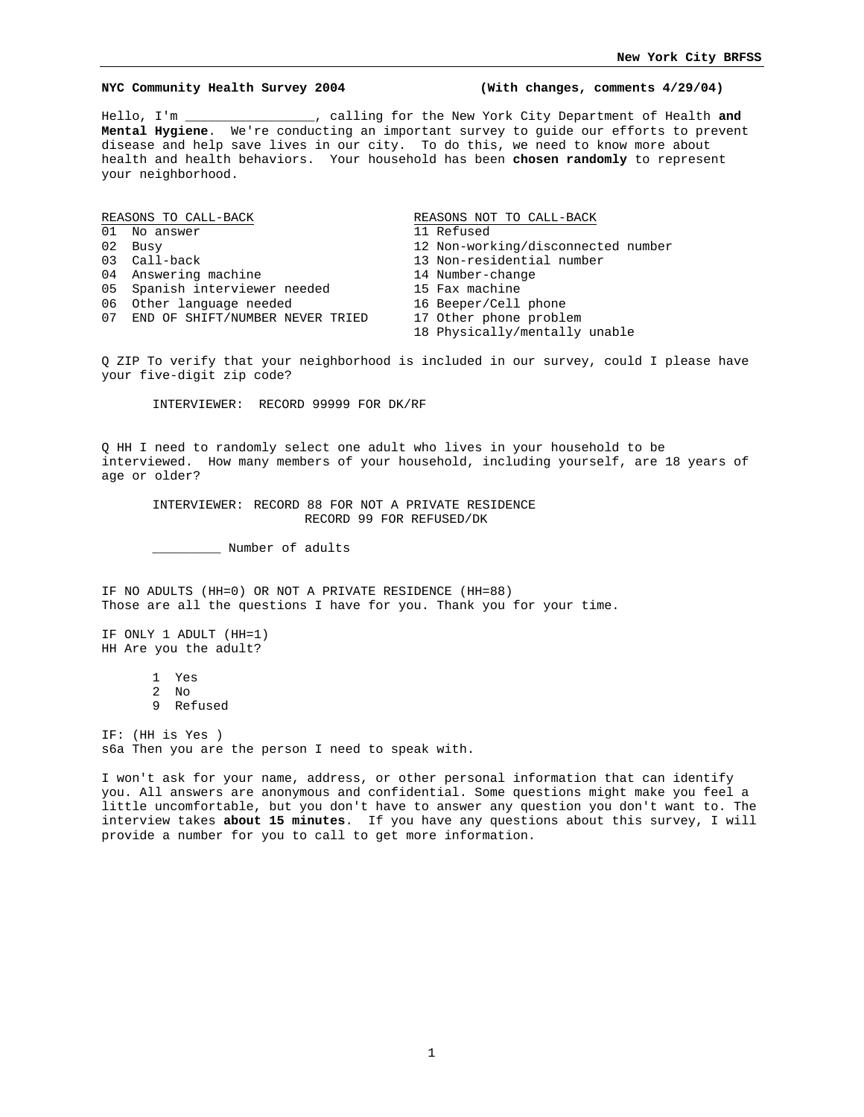#### **NYC Community Health Survey 2004 (With changes, comments 4/29/04)**

Hello, I'm \_\_\_\_\_\_\_\_\_\_\_\_\_\_\_\_\_, calling for the New York City Department of Health **and Mental Hygiene**. We're conducting an important survey to guide our efforts to prevent disease and help save lives in our city. To do this, we need to know more about health and health behaviors. Your household has been **chosen randomly** to represent your neighborhood.

| REASONS TO CALL-BACK |                                    | REASONS NOT TO CALL-BACK           |
|----------------------|------------------------------------|------------------------------------|
|                      | 01 No answer                       | 11 Refused                         |
|                      | 02 Busy                            | 12 Non-working/disconnected number |
|                      | 03 Call-back                       | 13 Non-residential number          |
|                      | 04 Answering machine               | 14 Number-change                   |
|                      | 05 Spanish interviewer needed      | 15 Fax machine                     |
|                      | 06 Other language needed           | 16 Beeper/Cell phone               |
|                      | 07 END OF SHIFT/NUMBER NEVER TRIED | 17 Other phone problem             |
|                      |                                    | 18 Physically/mentally unable      |

Q ZIP To verify that your neighborhood is included in our survey, could I please have your five-digit zip code?

INTERVIEWER: RECORD 99999 FOR DK/RF

Q HH I need to randomly select one adult who lives in your household to be interviewed. How many members of your household, including yourself, are 18 years of age or older?

INTERVIEWER: RECORD 88 FOR NOT A PRIVATE RESIDENCE RECORD 99 FOR REFUSED/DK

\_\_\_\_\_\_\_\_\_ Number of adults

IF NO ADULTS (HH=0) OR NOT A PRIVATE RESIDENCE (HH=88) Those are all the questions I have for you. Thank you for your time.

IF ONLY 1 ADULT (HH=1) HH Are you the adult?

1 Yes

2 No

9 Refused

IF: (HH is Yes ) s6a Then you are the person I need to speak with.

I won't ask for your name, address, or other personal information that can identify you. All answers are anonymous and confidential. Some questions might make you feel a little uncomfortable, but you don't have to answer any question you don't want to. The interview takes **about 15 minutes**. If you have any questions about this survey, I will provide a number for you to call to get more information.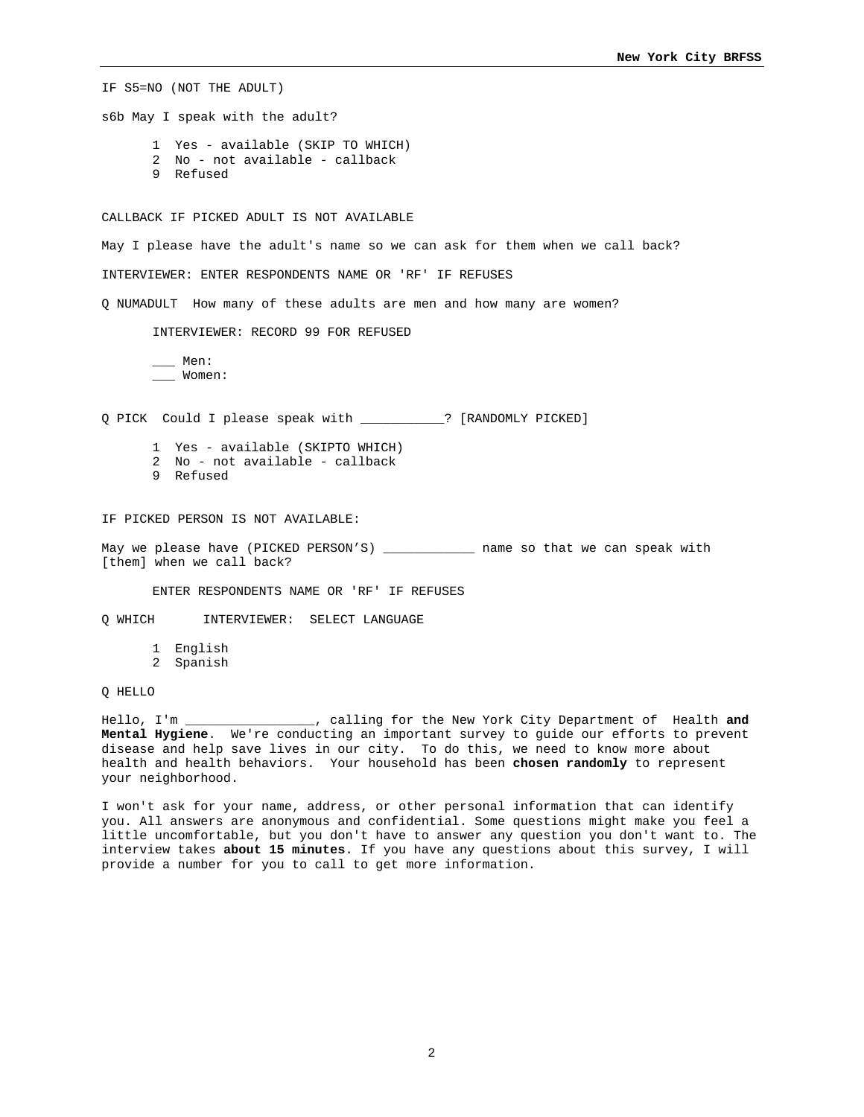IF S5=NO (NOT THE ADULT) s6b May I speak with the adult? 1 Yes - available (SKIP TO WHICH) 2 No - not available - callback 9 Refused CALLBACK IF PICKED ADULT IS NOT AVAILABLE May I please have the adult's name so we can ask for them when we call back? INTERVIEWER: ENTER RESPONDENTS NAME OR 'RF' IF REFUSES Q NUMADULT How many of these adults are men and how many are women? INTERVIEWER: RECORD 99 FOR REFUSED \_\_\_ Men: \_\_\_ Women: Q PICK Could I please speak with \_\_\_\_\_\_\_\_\_\_\_? [RANDOMLY PICKED] 1 Yes - available (SKIPTO WHICH) 2 No - not available - callback 9 Refused IF PICKED PERSON IS NOT AVAILABLE:

May we please have (PICKED PERSON'S) \_\_\_\_\_\_\_\_\_\_\_\_\_\_ name so that we can speak with [them] when we call back?

ENTER RESPONDENTS NAME OR 'RF' IF REFUSES

Q WHICH INTERVIEWER: SELECT LANGUAGE

1 English

2 Spanish

Q HELLO

Hello, I'm \_\_\_\_\_\_\_\_\_\_\_\_\_\_\_\_\_, calling for the New York City Department of Health **and Mental Hygiene**. We're conducting an important survey to guide our efforts to prevent disease and help save lives in our city. To do this, we need to know more about health and health behaviors. Your household has been **chosen randomly** to represent your neighborhood.

I won't ask for your name, address, or other personal information that can identify you. All answers are anonymous and confidential. Some questions might make you feel a little uncomfortable, but you don't have to answer any question you don't want to. The interview takes **about 15 minutes**. If you have any questions about this survey, I will provide a number for you to call to get more information.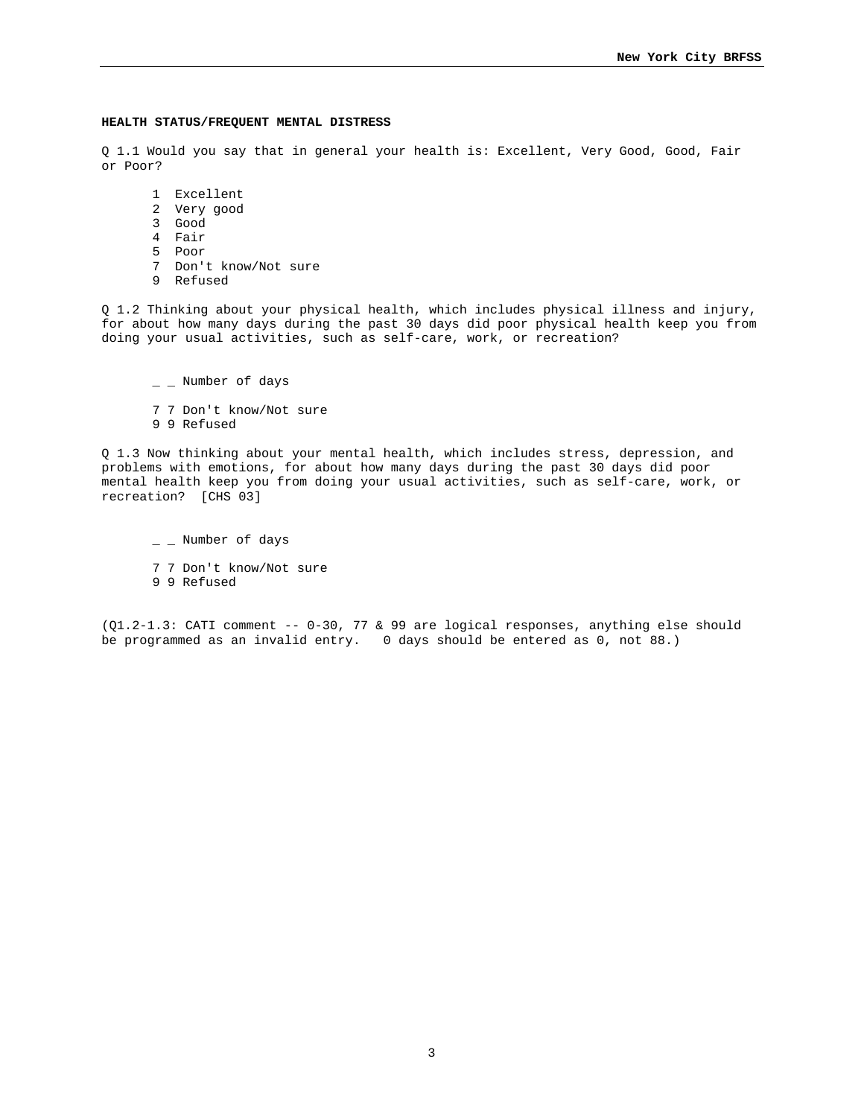#### **HEALTH STATUS/FREQUENT MENTAL DISTRESS**

Q 1.1 Would you say that in general your health is: Excellent, Very Good, Good, Fair or Poor?

- 1 Excellent
- 2 Very good
- 3 Good
- 4 Fair
- 5 Poor
- 7 Don't know/Not sure
- 9 Refused

Q 1.2 Thinking about your physical health, which includes physical illness and injury, for about how many days during the past 30 days did poor physical health keep you from doing your usual activities, such as self-care, work, or recreation?

 $-$  Number of days

- 7 7 Don't know/Not sure
- 9 9 Refused

Q 1.3 Now thinking about your mental health, which includes stress, depression, and problems with emotions, for about how many days during the past 30 days did poor mental health keep you from doing your usual activities, such as self-care, work, or recreation? [CHS 03]

 $\_$   $\_$  Number of days 7 7 Don't know/Not sure 9 9 Refused

(Q1.2-1.3: CATI comment -- 0-30, 77 & 99 are logical responses, anything else should be programmed as an invalid entry. 0 days should be entered as 0, not 88.)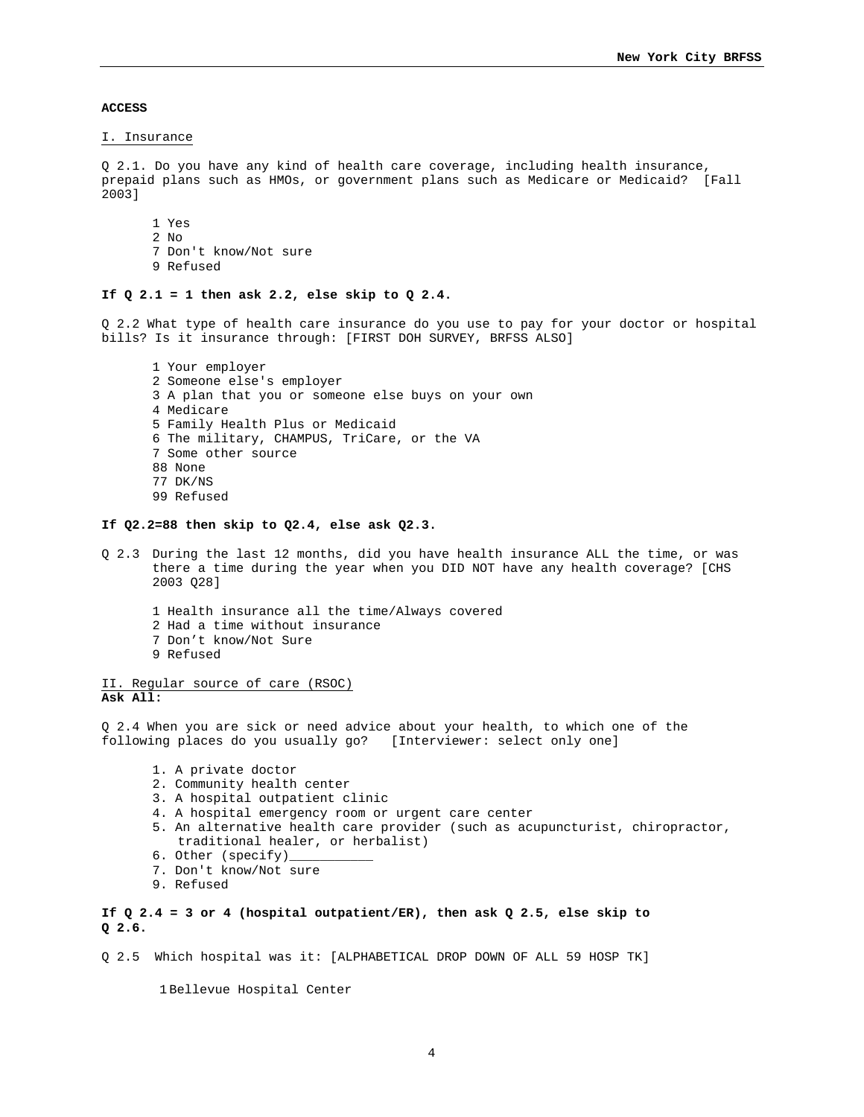**ACCESS** 

I. Insurance

Q 2.1. Do you have any kind of health care coverage, including health insurance, prepaid plans such as HMOs, or government plans such as Medicare or Medicaid? [Fall 2003]

1 Yes 2 No 7 Don't know/Not sure

9 Refused

# **If Q 2.1 = 1 then ask 2.2, else skip to Q 2.4.**

Q 2.2 What type of health care insurance do you use to pay for your doctor or hospital bills? Is it insurance through: [FIRST DOH SURVEY, BRFSS ALSO]

1 Your employer 2 Someone else's employer 3 A plan that you or someone else buys on your own 4 Medicare 5 Family Health Plus or Medicaid 6 The military, CHAMPUS, TriCare, or the VA 7 Some other source 88 None 77 DK/NS 99 Refused

#### **If Q2.2=88 then skip to Q2.4, else ask Q2.3.**

- Q 2.3 During the last 12 months, did you have health insurance ALL the time, or was there a time during the year when you DID NOT have any health coverage? [CHS 2003 Q28]
	- 1 Health insurance all the time/Always covered
	- 2 Had a time without insurance
	- 7 Don't know/Not Sure
	- 9 Refused

II. Regular source of care (RSOC) **Ask All:** 

Q 2.4 When you are sick or need advice about your health, to which one of the following places do you usually go? [Interviewer: select only one]

- 1. A private doctor
- 2. Community health center
- 3. A hospital outpatient clinic
- 4. A hospital emergency room or urgent care center
- 5. An alternative health care provider (such as acupuncturist, chiropractor, traditional healer, or herbalist)
- 6. Other (specify)
- 7. Don't know/Not sure
- 9. Refused

**If Q 2.4 = 3 or 4 (hospital outpatient/ER), then ask Q 2.5, else skip to Q 2.6.** 

Q 2.5 Which hospital was it: [ALPHABETICAL DROP DOWN OF ALL 59 HOSP TK]

1 Bellevue Hospital Center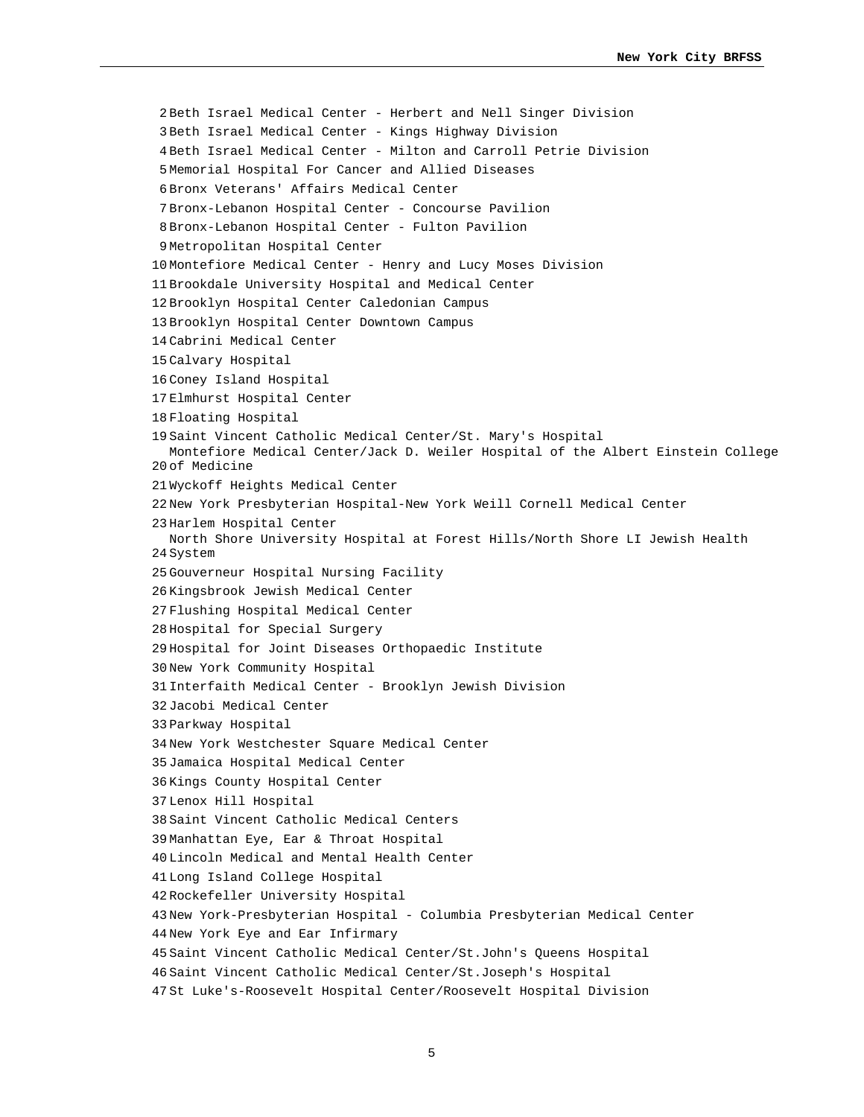2 Beth Israel Medical Center - Herbert and Nell Singer Division 3 Beth Israel Medical Center - Kings Highway Division 4 Beth Israel Medical Center - Milton and Carroll Petrie Division 5 Memorial Hospital For Cancer and Allied Diseases 6 Bronx Veterans' Affairs Medical Center 7 Bronx-Lebanon Hospital Center - Concourse Pavilion 8 Bronx-Lebanon Hospital Center - Fulton Pavilion 9 Metropolitan Hospital Center 10 Montefiore Medical Center - Henry and Lucy Moses Division 11 Brookdale University Hospital and Medical Center 12 Brooklyn Hospital Center Caledonian Campus 13 Brooklyn Hospital Center Downtown Campus 14 Cabrini Medical Center 15 Calvary Hospital 16 Coney Island Hospital 17 Elmhurst Hospital Center 18 Floating Hospital 19 Saint Vincent Catholic Medical Center/St. Mary's Hospital 20 of Medicine Montefiore Medical Center/Jack D. Weiler Hospital of the Albert Einstein College 21 Wyckoff Heights Medical Center 22 New York Presbyterian Hospital-New York Weill Cornell Medical Center 23 Harlem Hospital Center 24 System North Shore University Hospital at Forest Hills/North Shore LI Jewish Health 25 Gouverneur Hospital Nursing Facility 26 Kingsbrook Jewish Medical Center 27 Flushing Hospital Medical Center 28 Hospital for Special Surgery 29 Hospital for Joint Diseases Orthopaedic Institute 30 New York Community Hospital 31 Interfaith Medical Center - Brooklyn Jewish Division 32 Jacobi Medical Center 33 Parkway Hospital 34 New York Westchester Square Medical Center 35 Jamaica Hospital Medical Center 36 Kings County Hospital Center 37 Lenox Hill Hospital 38 Saint Vincent Catholic Medical Centers 39 Manhattan Eye, Ear & Throat Hospital 40 Lincoln Medical and Mental Health Center 41 Long Island College Hospital 42 Rockefeller University Hospital 43 New York-Presbyterian Hospital - Columbia Presbyterian Medical Center 44 New York Eye and Ear Infirmary 45 Saint Vincent Catholic Medical Center/St.John's Queens Hospital 46 Saint Vincent Catholic Medical Center/St.Joseph's Hospital 47 St Luke's-Roosevelt Hospital Center/Roosevelt Hospital Division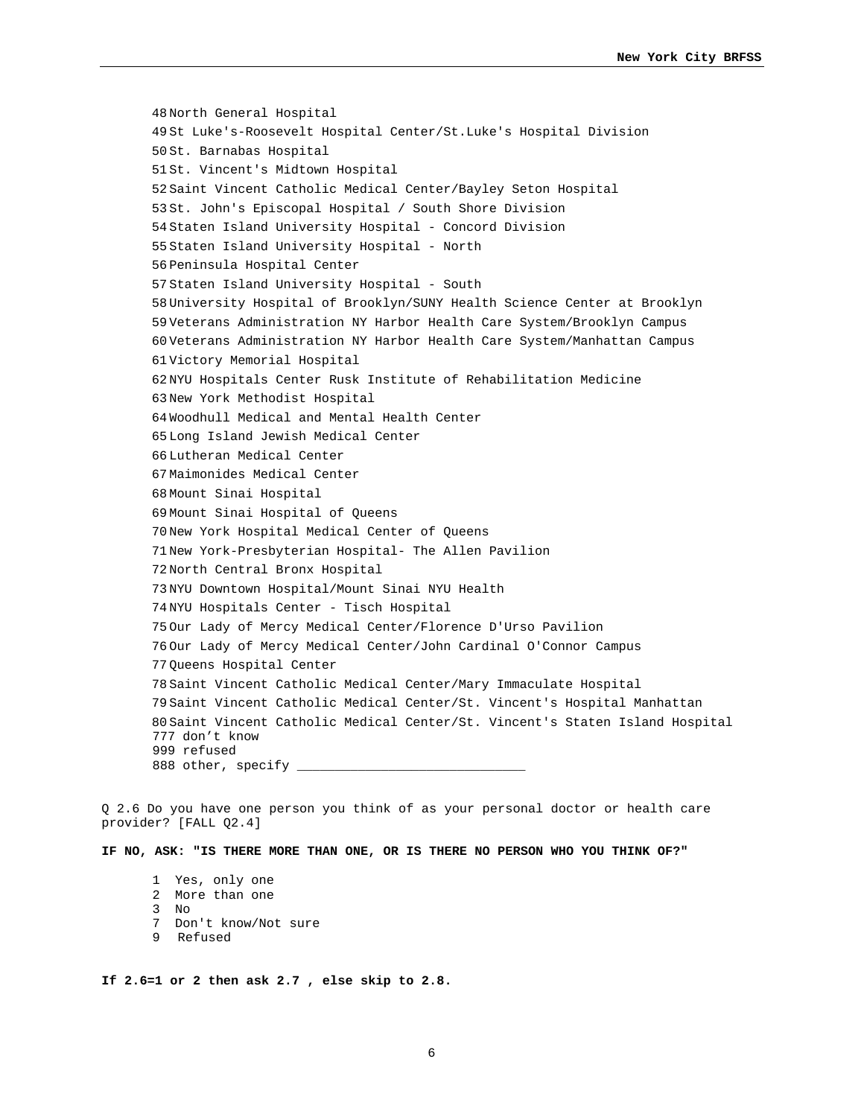48 North General Hospital 49 St Luke's-Roosevelt Hospital Center/St.Luke's Hospital Division 50 St. Barnabas Hospital 51 St. Vincent's Midtown Hospital 52 Saint Vincent Catholic Medical Center/Bayley Seton Hospital 53 St. John's Episcopal Hospital / South Shore Division 54 Staten Island University Hospital - Concord Division 55 Staten Island University Hospital - North 56 Peninsula Hospital Center 57 Staten Island University Hospital - South 58 University Hospital of Brooklyn/SUNY Health Science Center at Brooklyn 59 Veterans Administration NY Harbor Health Care System/Brooklyn Campus 60 Veterans Administration NY Harbor Health Care System/Manhattan Campus 61 Victory Memorial Hospital 62 NYU Hospitals Center Rusk Institute of Rehabilitation Medicine 63 New York Methodist Hospital 64 Woodhull Medical and Mental Health Center 65 Long Island Jewish Medical Center 66 Lutheran Medical Center 67 Maimonides Medical Center 68 Mount Sinai Hospital 69 Mount Sinai Hospital of Queens 70 New York Hospital Medical Center of Queens 71 New York-Presbyterian Hospital- The Allen Pavilion 72 North Central Bronx Hospital 73 NYU Downtown Hospital/Mount Sinai NYU Health 74 NYU Hospitals Center - Tisch Hospital 75 Our Lady of Mercy Medical Center/Florence D'Urso Pavilion 76 Our Lady of Mercy Medical Center/John Cardinal O'Connor Campus 77 Queens Hospital Center 78 Saint Vincent Catholic Medical Center/Mary Immaculate Hospital 79 Saint Vincent Catholic Medical Center/St. Vincent's Hospital Manhattan 80 Saint Vincent Catholic Medical Center/St. Vincent's Staten Island Hospital 777 don't know 999 refused 888 other, specify \_\_\_\_

Q 2.6 Do you have one person you think of as your personal doctor or health care provider? [FALL Q2.4]

**IF NO, ASK: "IS THERE MORE THAN ONE, OR IS THERE NO PERSON WHO YOU THINK OF?"** 

- 1 Yes, only one
- 2 More than one
- $3 \overline{N}$
- 7 Don't know/Not sure
- 9 Refused

**If 2.6=1 or 2 then ask 2.7 , else skip to 2.8.**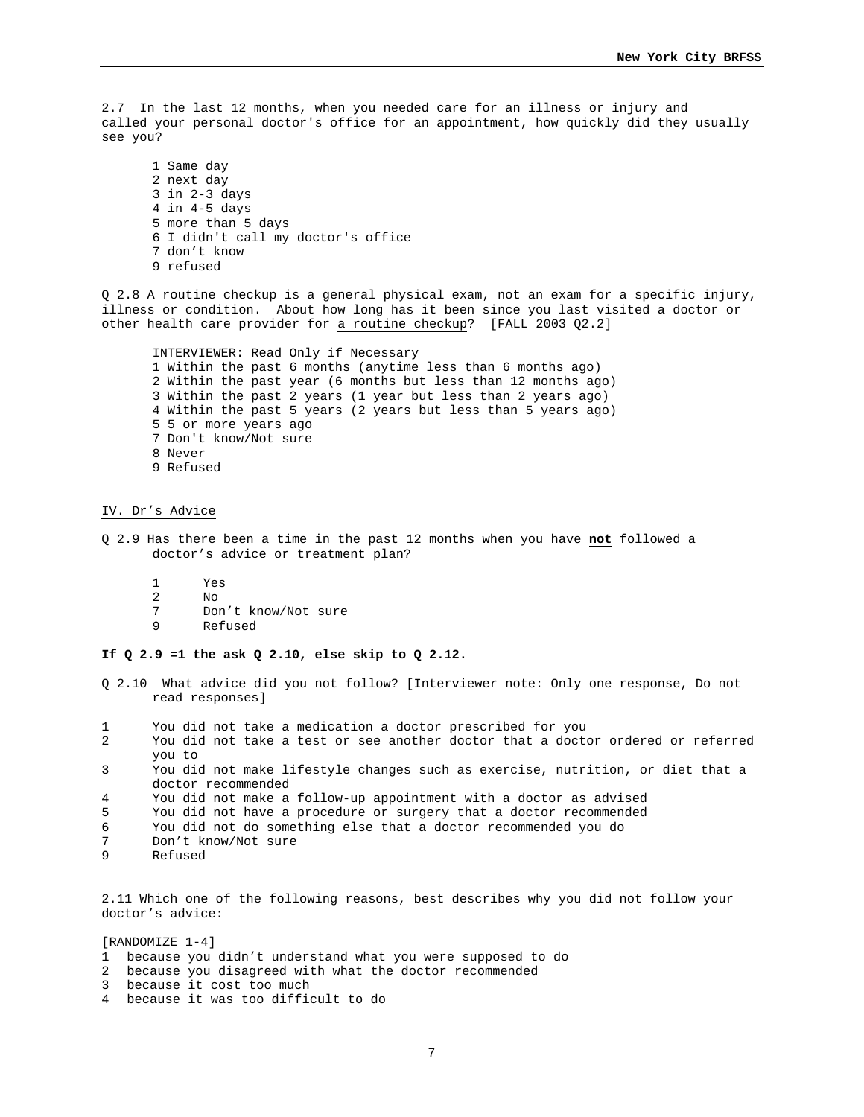2.7 In the last 12 months, when you needed care for an illness or injury and called your personal doctor's office for an appointment, how quickly did they usually see you?

1 Same day 2 next day 3 in 2-3 days 4 in 4-5 days 5 more than 5 days 6 I didn't call my doctor's office 7 don't know 9 refused

Q 2.8 A routine checkup is a general physical exam, not an exam for a specific injury, illness or condition. About how long has it been since you last visited a doctor or other health care provider for a routine checkup? [FALL 2003 Q2.2]

INTERVIEWER: Read Only if Necessary 1 Within the past 6 months (anytime less than 6 months ago) 2 Within the past year (6 months but less than 12 months ago) 3 Within the past 2 years (1 year but less than 2 years ago) 4 Within the past 5 years (2 years but less than 5 years ago) 5 5 or more years ago 7 Don't know/Not sure 8 Never 9 Refused

### IV. Dr's Advice

- Q 2.9 Has there been a time in the past 12 months when you have **not** followed a doctor's advice or treatment plan?
	- 1 Yes
	- 2 No<br>7 Dol
	- 7 Don't know/Not sure<br>9 Refused
	- 9 Refused

**If Q 2.9 =1 the ask Q 2.10, else skip to Q 2.12.** 

- Q 2.10 What advice did you not follow? [Interviewer note: Only one response, Do not read responses]
- 1 You did not take a medication a doctor prescribed for you
- 2 You did not take a test or see another doctor that a doctor ordered or referred you to
- 3 You did not make lifestyle changes such as exercise, nutrition, or diet that a doctor recommended
- 4 You did not make a follow-up appointment with a doctor as advised
- 5 You did not have a procedure or surgery that a doctor recommended
- 6 You did not do something else that a doctor recommended you do
- Don't know/Not sure
- 9 Refused

2.11 Which one of the following reasons, best describes why you did not follow your doctor's advice:

[RANDOMIZE 1-4]

- 1 because you didn't understand what you were supposed to do
- 2 because you disagreed with what the doctor recommended
- 3 because it cost too much
- 4 because it was too difficult to do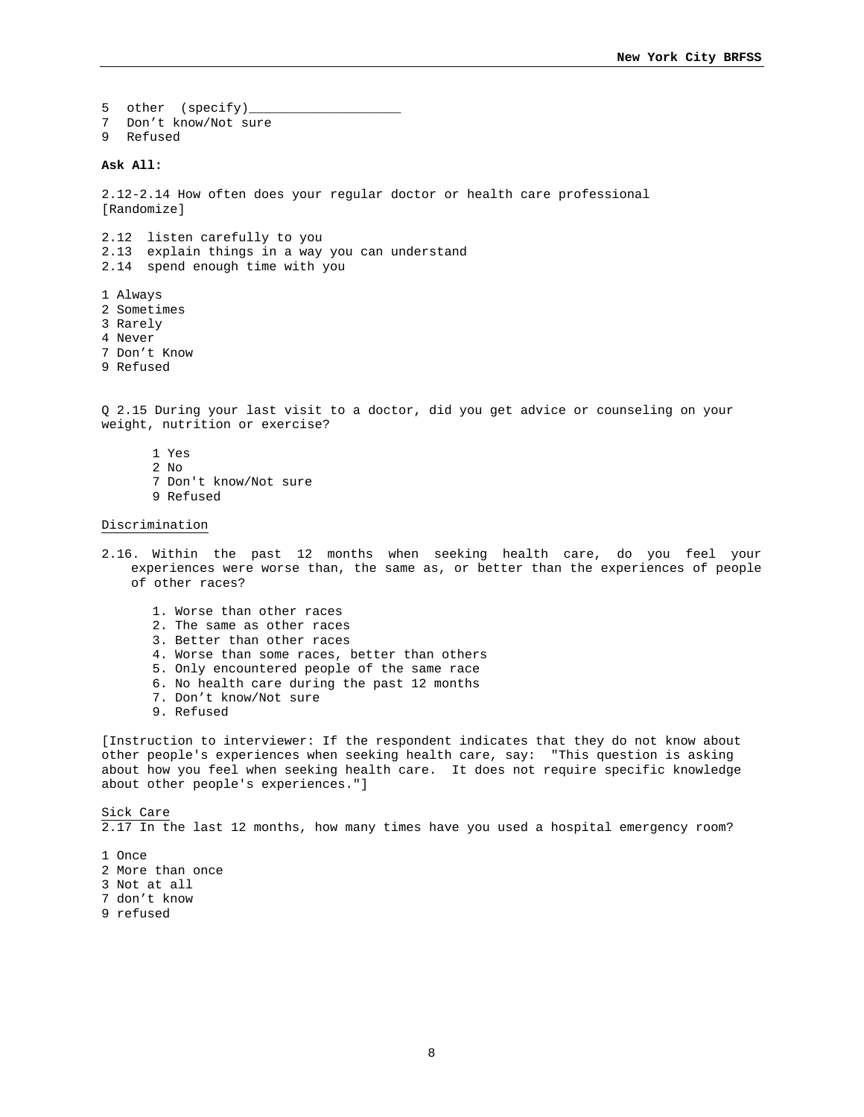5 other (specify)\_ 7 Don't know/Not sure 9 Refused

## **Ask All:**

2.12-2.14 How often does your regular doctor or health care professional [Randomize]

2.12 listen carefully to you 2.13 explain things in a way you can understand 2.14 spend enough time with you

- 1 Always
- 2 Sometimes
- 3 Rarely
- 4 Never
- 7 Don't Know
- 9 Refused

Q 2.15 During your last visit to a doctor, did you get advice or counseling on your weight, nutrition or exercise?

- 1 Yes
- 2 No
- 7 Don't know/Not sure
- 9 Refused

#### Discrimination

- 2.16. Within the past 12 months when seeking health care, do you feel your experiences were worse than, the same as, or better than the experiences of people of other races?
	- 1. Worse than other races
	- 2. The same as other races
	- 3. Better than other races
	- 4. Worse than some races, better than others
	- 5. Only encountered people of the same race
	- 6. No health care during the past 12 months
	- 7. Don't know/Not sure
	- 9. Refused

[Instruction to interviewer: If the respondent indicates that they do not know about other people's experiences when seeking health care, say: "This question is asking about how you feel when seeking health care. It does not require specific knowledge about other people's experiences."]

Sick Care 2.17 In the last 12 months, how many times have you used a hospital emergency room?

- 1 Once
- 2 More than once
- 3 Not at all
- 7 don't know
- 9 refused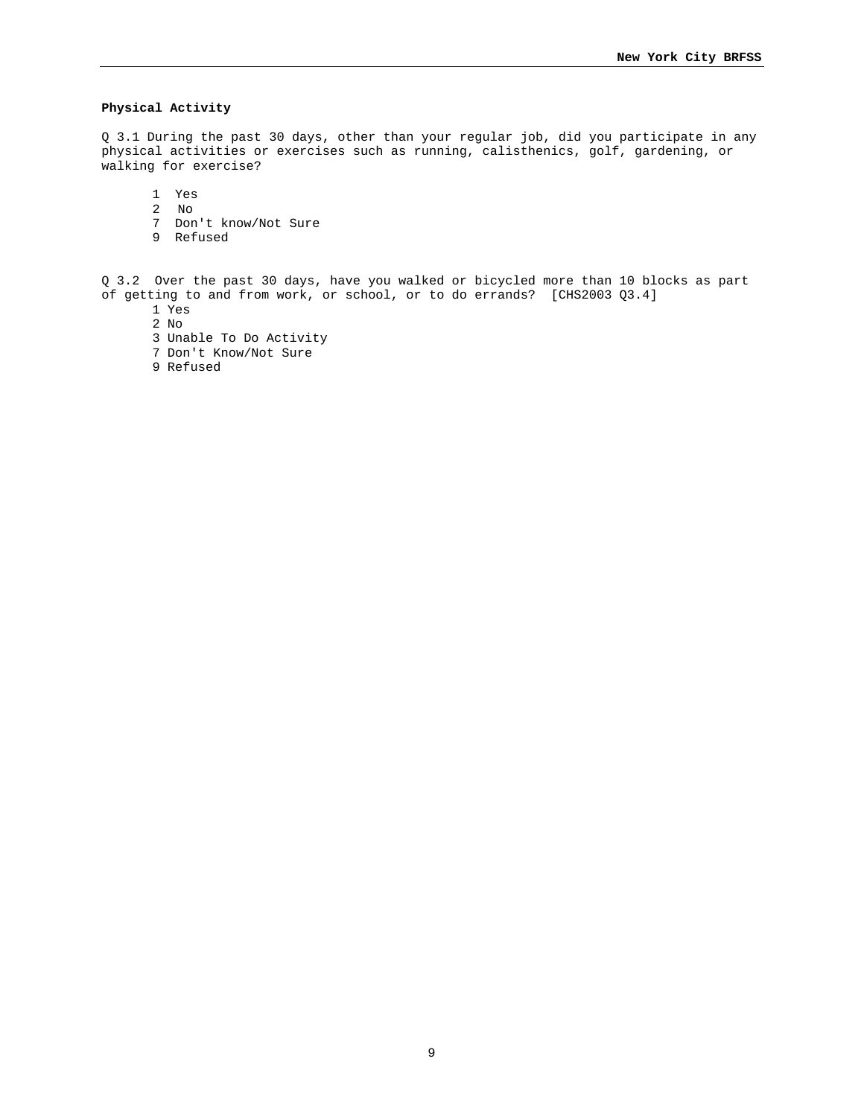# **Physical Activity**

Q 3.1 During the past 30 days, other than your regular job, did you participate in any physical activities or exercises such as running, calisthenics, golf, gardening, or walking for exercise?

- 1 Yes
- 2 No
- 7 Don't know/Not Sure
- 9 Refused

Q 3.2 Over the past 30 days, have you walked or bicycled more than 10 blocks as part of getting to and from work, or school, or to do errands? [CHS2003 Q3.4]

- 1 Yes
- 2 No
- 3 Unable To Do Activity
- 7 Don't Know/Not Sure
- 9 Refused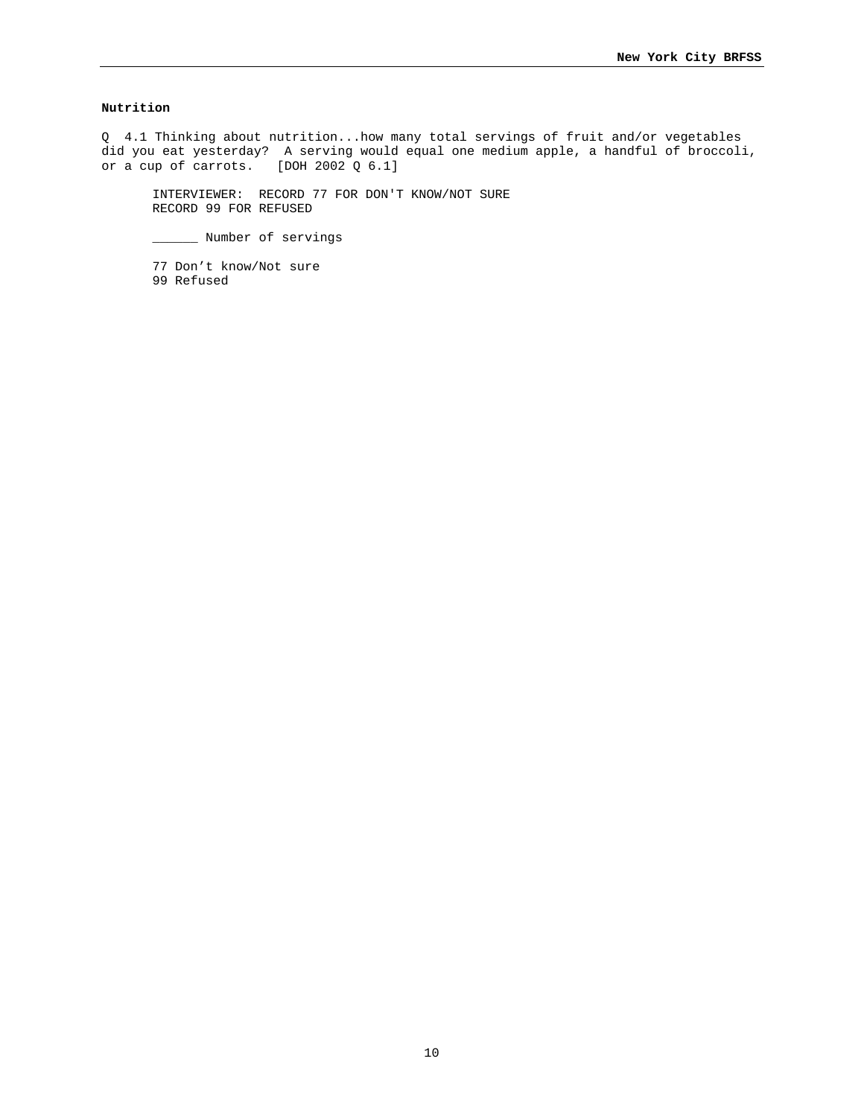# **Nutrition**

Q 4.1 Thinking about nutrition...how many total servings of fruit and/or vegetables did you eat yesterday? A serving would equal one medium apple, a handful of broccoli, or a cup of carrots. [DOH 2002 Q 6.1]

INTERVIEWER: RECORD 77 FOR DON'T KNOW/NOT SURE RECORD 99 FOR REFUSED

\_\_\_\_\_\_ Number of servings

77 Don't know/Not sure 99 Refused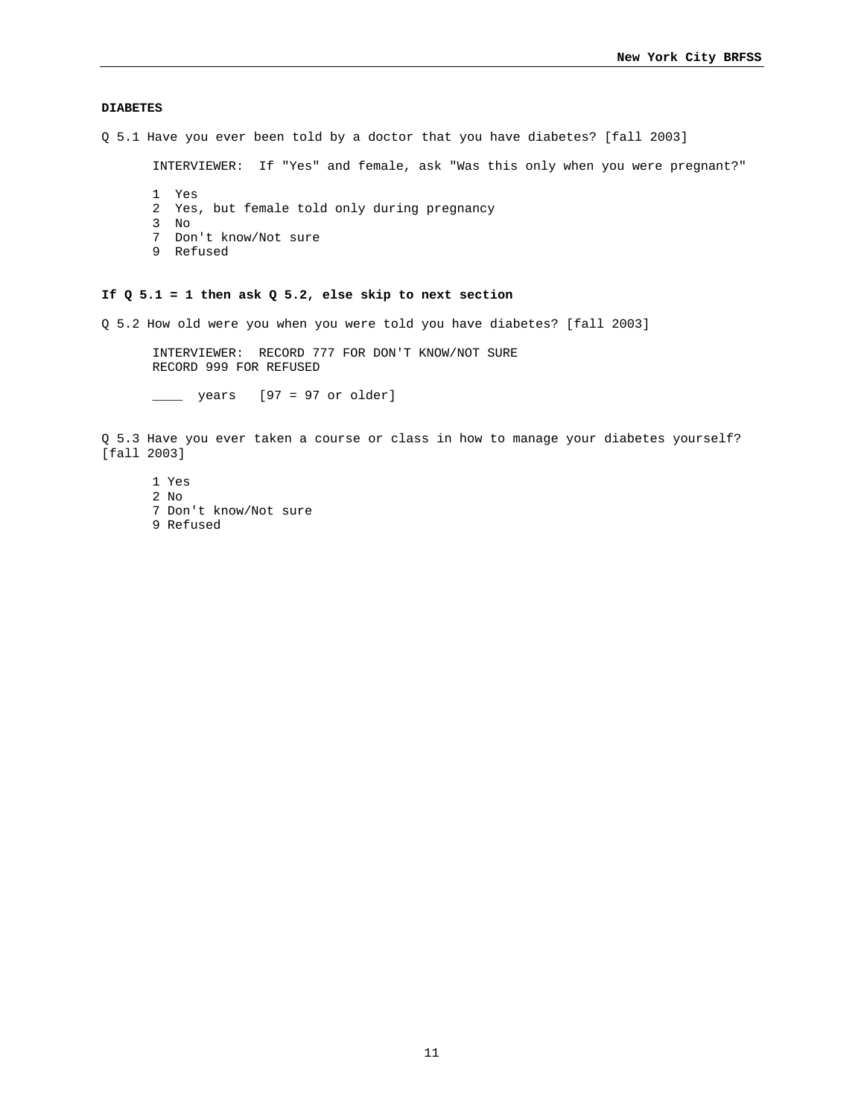## **DIABETES**

Q 5.1 Have you ever been told by a doctor that you have diabetes? [fall 2003]

INTERVIEWER: If "Yes" and female, ask "Was this only when you were pregnant?"

- 1 Yes
- 2 Yes, but female told only during pregnancy
- 3 No
- 7 Don't know/Not sure
- 9 Refused

# **If Q 5.1 = 1 then ask Q 5.2, else skip to next section**

Q 5.2 How old were you when you were told you have diabetes? [fall 2003]

INTERVIEWER: RECORD 777 FOR DON'T KNOW/NOT SURE RECORD 999 FOR REFUSED

\_\_\_\_ years [97 = 97 or older]

Q 5.3 Have you ever taken a course or class in how to manage your diabetes yourself? [fall 2003]

1 Yes 2 No 7 Don't know/Not sure 9 Refused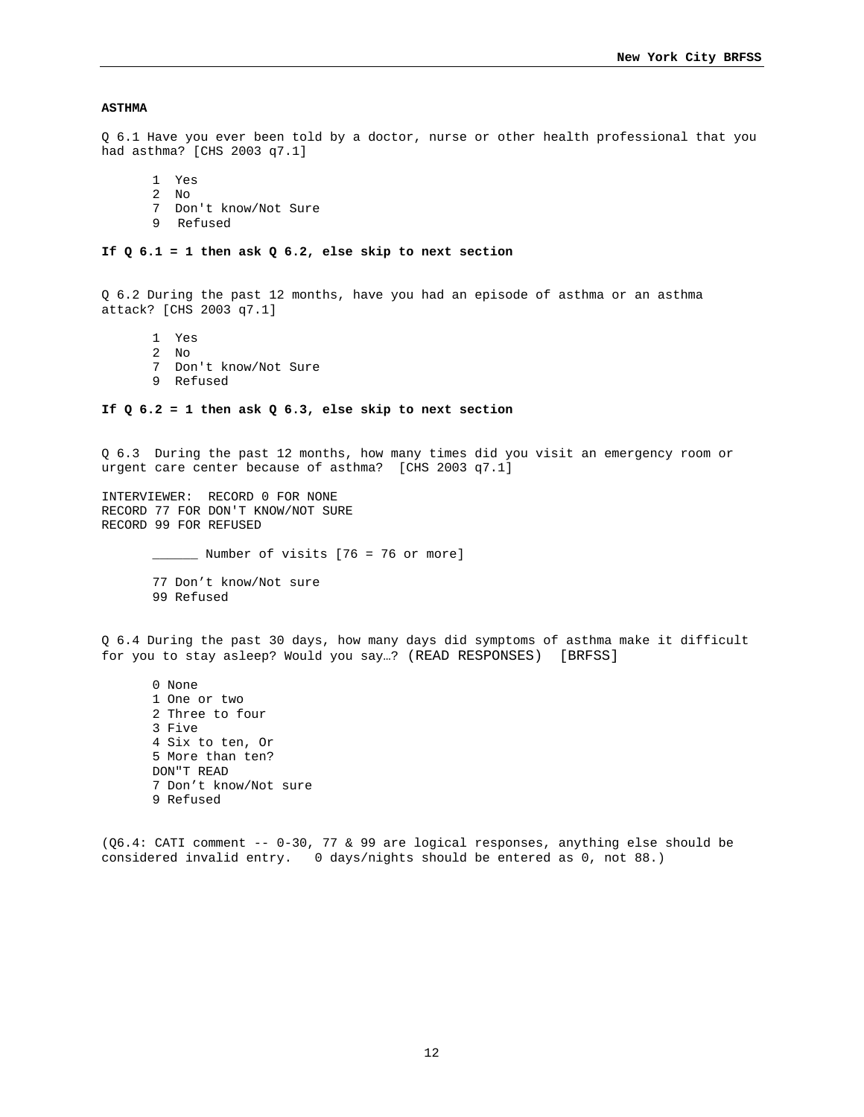## **ASTHMA**

Q 6.1 Have you ever been told by a doctor, nurse or other health professional that you had asthma? [CHS 2003 q7.1]

1 Yes

- 2 No
- 7 Don't know/Not Sure
- 9 Refused

#### **If Q 6.1 = 1 then ask Q 6.2, else skip to next section**

Q 6.2 During the past 12 months, have you had an episode of asthma or an asthma attack? [CHS 2003 q7.1]

1 Yes

- 2 No
- 7 Don't know/Not Sure
- 9 Refused

# **If Q 6.2 = 1 then ask Q 6.3, else skip to next section**

Q 6.3 During the past 12 months, how many times did you visit an emergency room or urgent care center because of asthma? [CHS 2003 q7.1]

INTERVIEWER: RECORD 0 FOR NONE RECORD 77 FOR DON'T KNOW/NOT SURE RECORD 99 FOR REFUSED

\_\_\_\_\_\_ Number of visits [76 = 76 or more]

77 Don't know/Not sure 99 Refused

Q 6.4 During the past 30 days, how many days did symptoms of asthma make it difficult for you to stay asleep? Would you say…? (READ RESPONSES) [BRFSS]

0 None 1 One or two 2 Three to four 3 Five 4 Six to ten, Or 5 More than ten? DON"T READ 7 Don't know/Not sure 9 Refused

(Q6.4: CATI comment -- 0-30, 77 & 99 are logical responses, anything else should be considered invalid entry. 0 days/nights should be entered as 0, not 88.)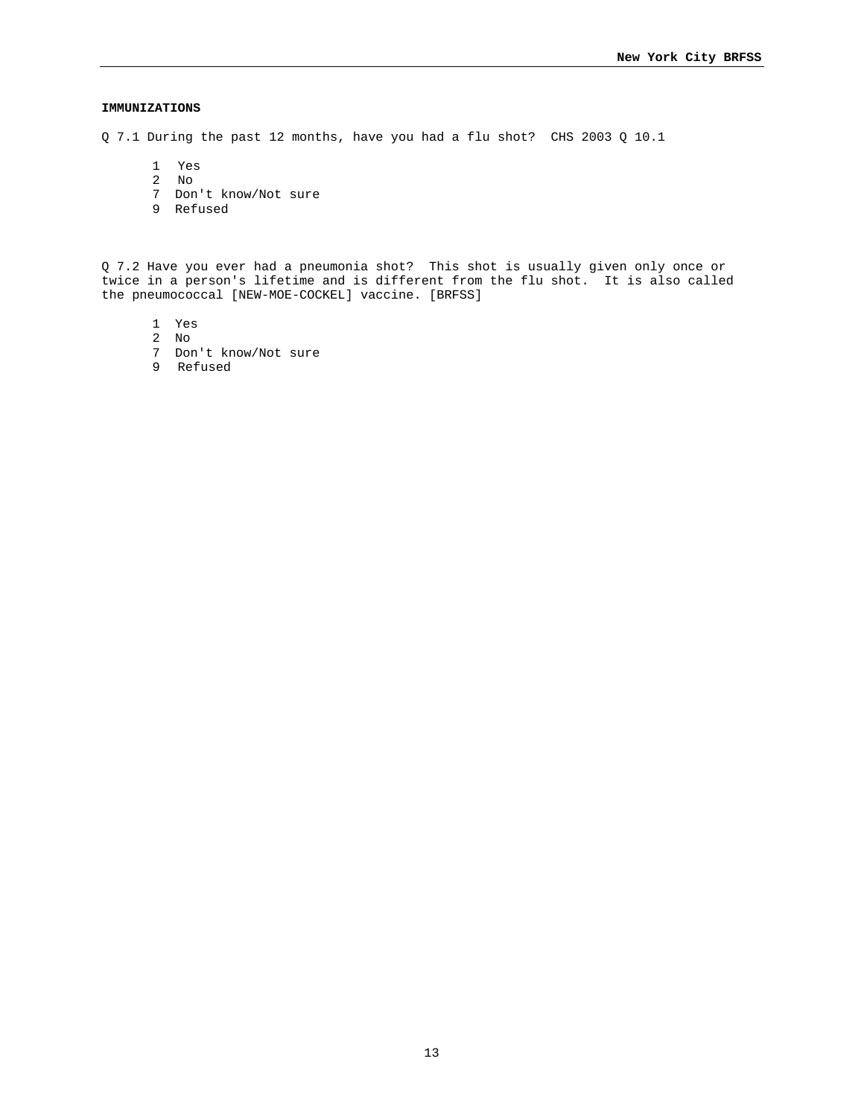# **IMMUNIZATIONS**

Q 7.1 During the past 12 months, have you had a flu shot? CHS 2003 Q 10.1

- 1 Yes
- 2 No
- 7 Don't know/Not sure
- 9 Refused

Q 7.2 Have you ever had a pneumonia shot? This shot is usually given only once or twice in a person's lifetime and is different from the flu shot. It is also called the pneumococcal [NEW-MOE-COCKEL] vaccine. [BRFSS]

- 1 Yes
- 2 No
- 7 Don't know/Not sure
- 9 Refused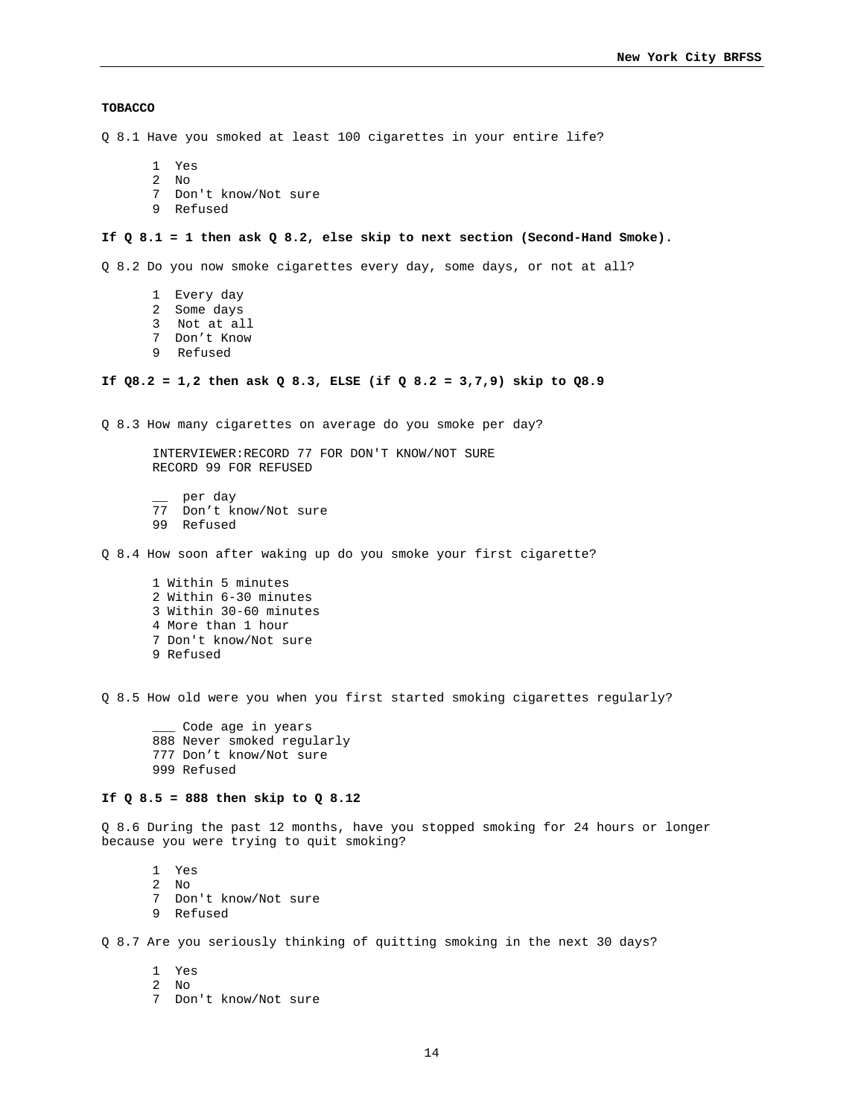## **TOBACCO**

Q 8.1 Have you smoked at least 100 cigarettes in your entire life?

- 1 Yes
- 2 No
- 7 Don't know/Not sure
- 9 Refused

# **If Q 8.1 = 1 then ask Q 8.2, else skip to next section (Second-Hand Smoke).**

Q 8.2 Do you now smoke cigarettes every day, some days, or not at all?

- 1 Every day
- 2 Some days
- 3 Not at all
- 7 Don't Know
- 9 Refused

### **If Q8.2 = 1,2 then ask Q 8.3, ELSE (if Q 8.2 = 3,7,9) skip to Q8.9**

Q 8.3 How many cigarettes on average do you smoke per day?

INTERVIEWER:RECORD 77 FOR DON'T KNOW/NOT SURE RECORD 99 FOR REFUSED

- \_\_ per day
- 77 Don't know/Not sure
- 99 Refused
- Q 8.4 How soon after waking up do you smoke your first cigarette?
	- 1 Within 5 minutes 2 Within 6-30 minutes 3 Within 30-60 minutes 4 More than 1 hour 7 Don't know/Not sure 9 Refused

Q 8.5 How old were you when you first started smoking cigarettes regularly?

Code age in years 888 Never smoked regularly 777 Don't know/Not sure 999 Refused

## **If Q 8.5 = 888 then skip to Q 8.12**

Q 8.6 During the past 12 months, have you stopped smoking for 24 hours or longer because you were trying to quit smoking?

- 1 Yes
- 2 No
- 7 Don't know/Not sure
- 9 Refused

Q 8.7 Are you seriously thinking of quitting smoking in the next 30 days?

- 1 Yes
- 2 No
- 7 Don't know/Not sure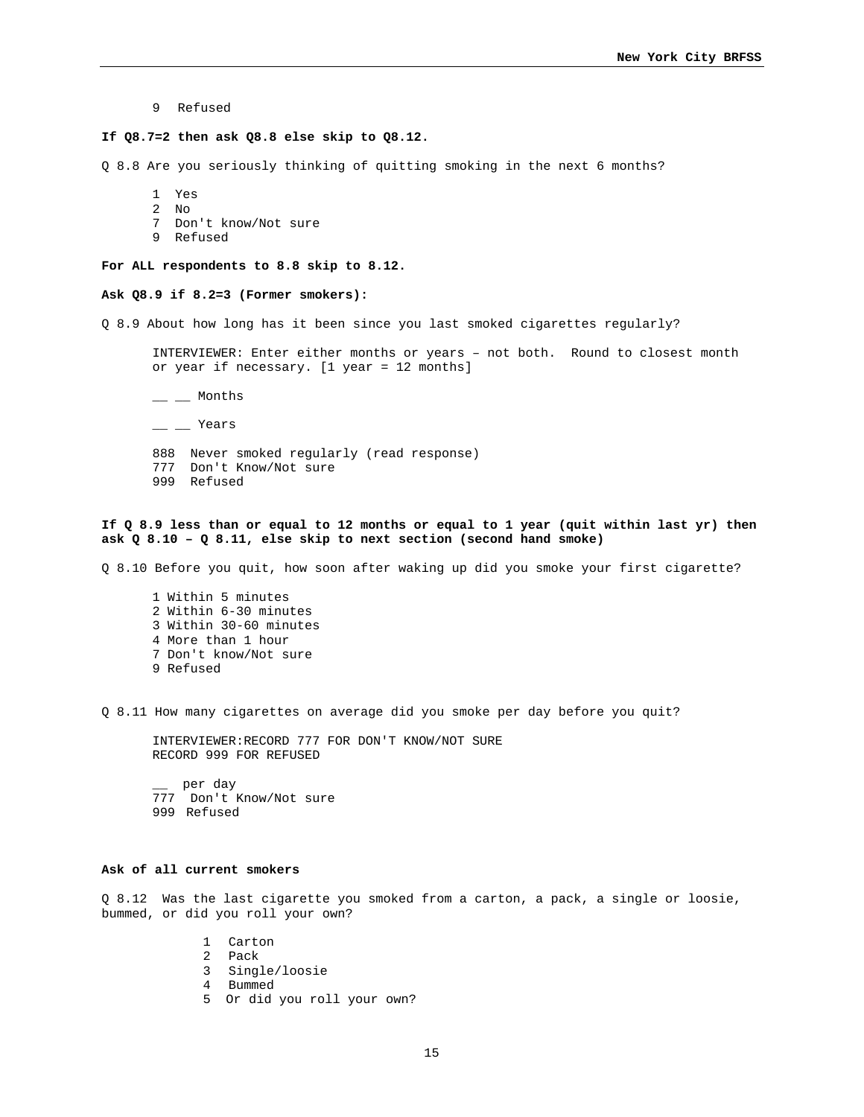9 Refused

#### **If Q8.7=2 then ask Q8.8 else skip to Q8.12.**

Q 8.8 Are you seriously thinking of quitting smoking in the next 6 months?

1 Yes

- 2 No
- 7 Don't know/Not sure
- 9 Refused

**For ALL respondents to 8.8 skip to 8.12.** 

# **Ask Q8.9 if 8.2=3 (Former smokers):**

Q 8.9 About how long has it been since you last smoked cigarettes regularly?

INTERVIEWER: Enter either months or years – not both. Round to closest month or year if necessary. [1 year = 12 months]

 $-$  Months

- $-$  Years
- 888 Never smoked regularly (read response)
- 777 Don't Know/Not sure
- 999 Refused

## **If Q 8.9 less than or equal to 12 months or equal to 1 year (quit within last yr) then ask Q 8.10 – Q 8.11, else skip to next section (second hand smoke)**

Q 8.10 Before you quit, how soon after waking up did you smoke your first cigarette?

1 Within 5 minutes 2 Within 6-30 minutes 3 Within 30-60 minutes 4 More than 1 hour 7 Don't know/Not sure 9 Refused

Q 8.11 How many cigarettes on average did you smoke per day before you quit?

INTERVIEWER:RECORD 777 FOR DON'T KNOW/NOT SURE RECORD 999 FOR REFUSED

\_\_ per day 777 Don't Know/Not sure 999 Refused

# **Ask of all current smokers**

Q 8.12 Was the last cigarette you smoked from a carton, a pack, a single or loosie, bummed, or did you roll your own?

- 1 Carton
- 2 Pack
- 3 Single/loosie
- 4 Bummed
- 5 Or did you roll your own?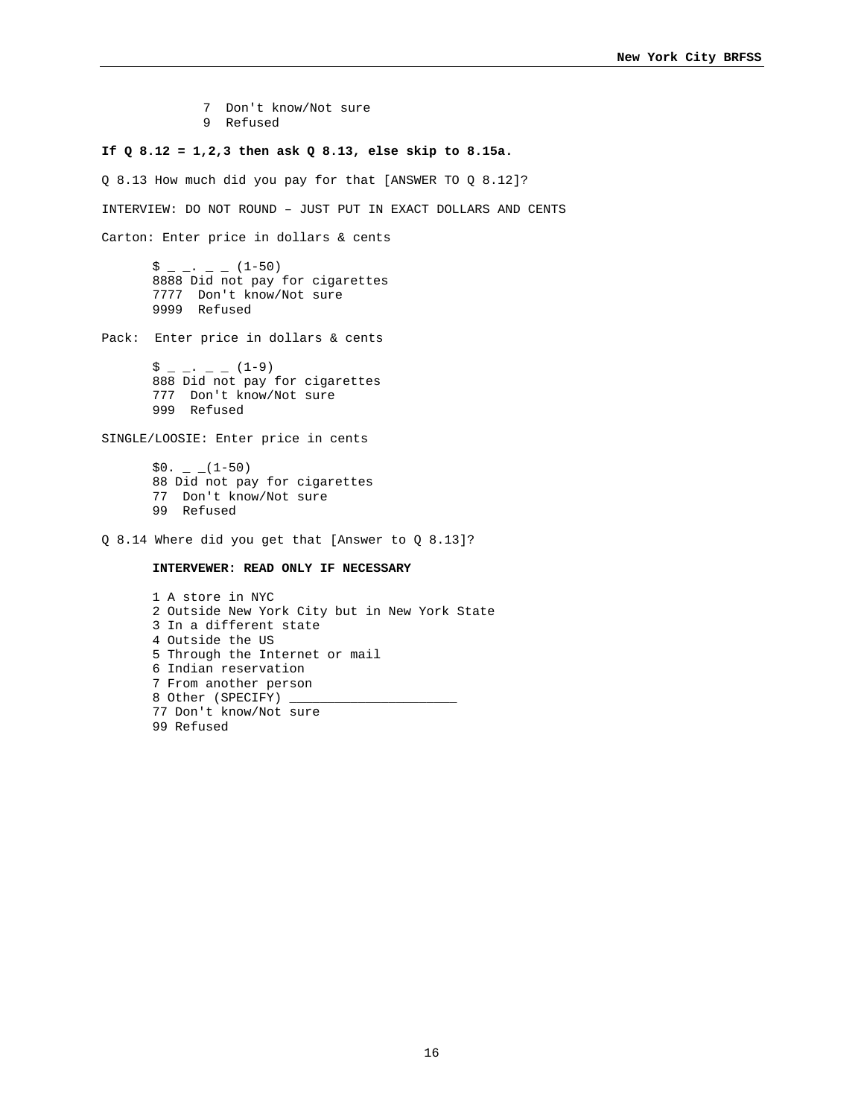- 7 Don't know/Not sure
- 9 Refused

#### **If Q 8.12 = 1,2,3 then ask Q 8.13, else skip to 8.15a.**

Q 8.13 How much did you pay for that [ANSWER TO Q 8.12]? INTERVIEW: DO NOT ROUND – JUST PUT IN EXACT DOLLARS AND CENTS Carton: Enter price in dollars & cents  $\hat{S}$   $=$   $\cdot$   $=$   $(1-50)$ 8888 Did not pay for cigarettes 7777 Don't know/Not sure 9999 Refused Pack: Enter price in dollars & cents  $\frac{1}{5}$  \_ \_ . \_ \_ (1-9) 888 Did not pay for cigarettes 777 Don't know/Not sure 999 Refused SINGLE/LOOSIE: Enter price in cents  $$0. - (1-50)$ 88 Did not pay for cigarettes 77 Don't know/Not sure 99 Refused Q 8.14 Where did you get that [Answer to Q 8.13]? **INTERVEWER: READ ONLY IF NECESSARY**  1 A store in NYC 2 Outside New York City but in New York State 3 In a different state 4 Outside the US 5 Through the Internet or mail 6 Indian reservation

> 7 From another person 8 Other (SPECIFY) \_ 77 Don't know/Not sure

99 Refused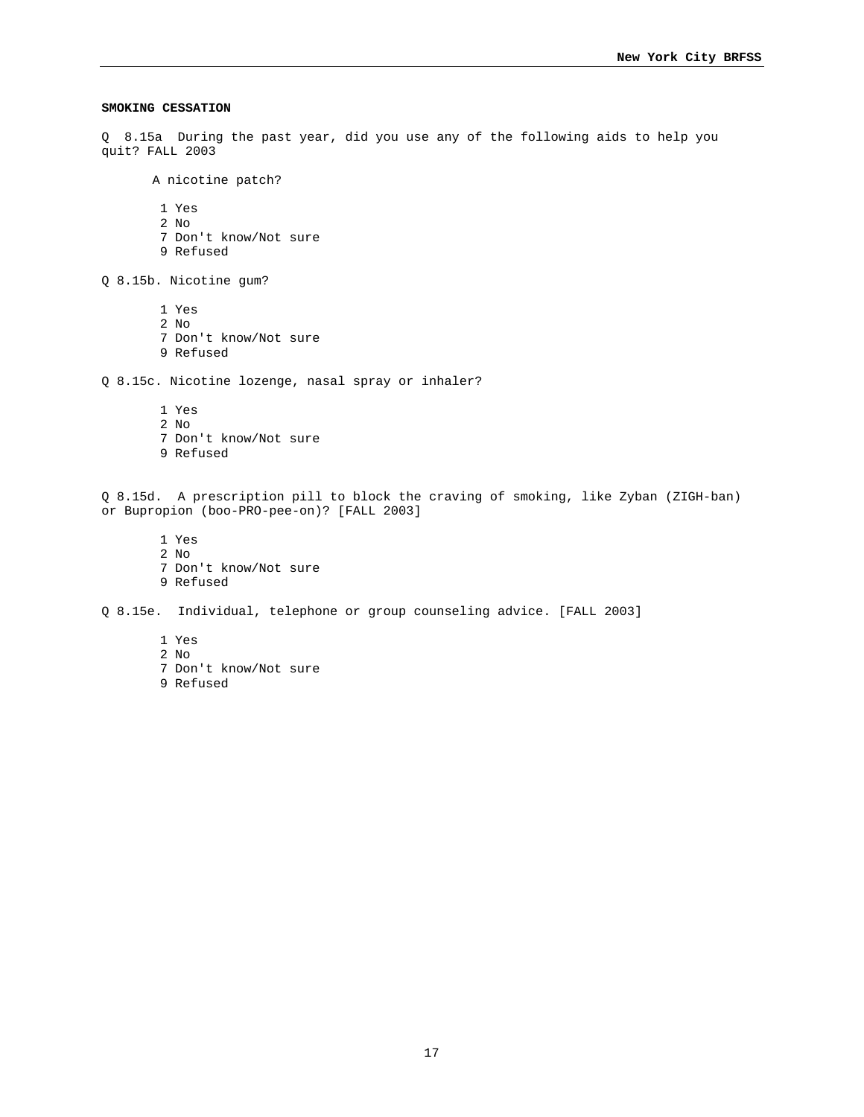### **SMOKING CESSATION**

Q 8.15a During the past year, did you use any of the following aids to help you quit? FALL 2003

A nicotine patch?

1 Yes

- 2 No
- 7 Don't know/Not sure
- 9 Refused

Q 8.15b. Nicotine gum?

- 1 Yes 2 No
- 7 Don't know/Not sure
- 9 Refused

Q 8.15c. Nicotine lozenge, nasal spray or inhaler?

- 1 Yes
- 2 No
- 7 Don't know/Not sure 9 Refused

Q 8.15d. A prescription pill to block the craving of smoking, like Zyban (ZIGH-ban) or Bupropion (boo-PRO-pee-on)? [FALL 2003]

 1 Yes 2 No 7 Don't know/Not sure 9 Refused

Q 8.15e. Individual, telephone or group counseling advice. [FALL 2003]

- 1 Yes
- 2 No
- 7 Don't know/Not sure
- 9 Refused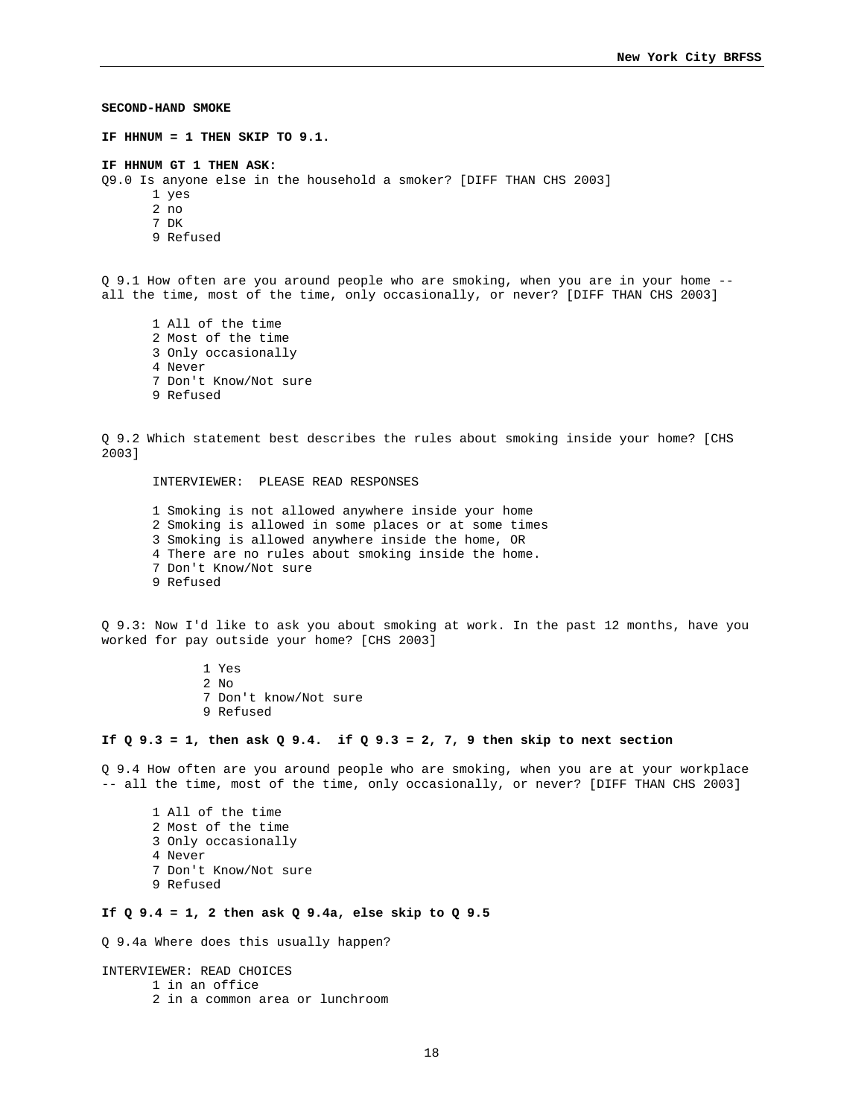**SECOND-HAND SMOKE IF HHNUM = 1 THEN SKIP TO 9.1. IF HHNUM GT 1 THEN ASK:** Q9.0 Is anyone else in the household a smoker? [DIFF THAN CHS 2003] 1 yes 2 no 7 DK 9 Refused Q 9.1 How often are you around people who are smoking, when you are in your home - all the time, most of the time, only occasionally, or never? [DIFF THAN CHS 2003] 1 All of the time 2 Most of the time 3 Only occasionally 4 Never 7 Don't Know/Not sure 9 Refused Q 9.2 Which statement best describes the rules about smoking inside your home? [CHS 2003] INTERVIEWER: PLEASE READ RESPONSES 1 Smoking is not allowed anywhere inside your home 2 Smoking is allowed in some places or at some times 3 Smoking is allowed anywhere inside the home, OR 4 There are no rules about smoking inside the home. 7 Don't Know/Not sure 9 Refused Q 9.3: Now I'd like to ask you about smoking at work. In the past 12 months, have you worked for pay outside your home? [CHS 2003] 1 Yes 2 No 7 Don't know/Not sure 9 Refused **If Q 9.3 = 1, then ask Q 9.4. if Q 9.3 = 2, 7, 9 then skip to next section**  Q 9.4 How often are you around people who are smoking, when you are at your workplace -- all the time, most of the time, only occasionally, or never? [DIFF THAN CHS 2003] 1 All of the time 2 Most of the time 3 Only occasionally 4 Never 7 Don't Know/Not sure 9 Refused **If Q 9.4 = 1, 2 then ask Q 9.4a, else skip to Q 9.5** 

Q 9.4a Where does this usually happen?

INTERVIEWER: READ CHOICES 1 in an office 2 in a common area or lunchroom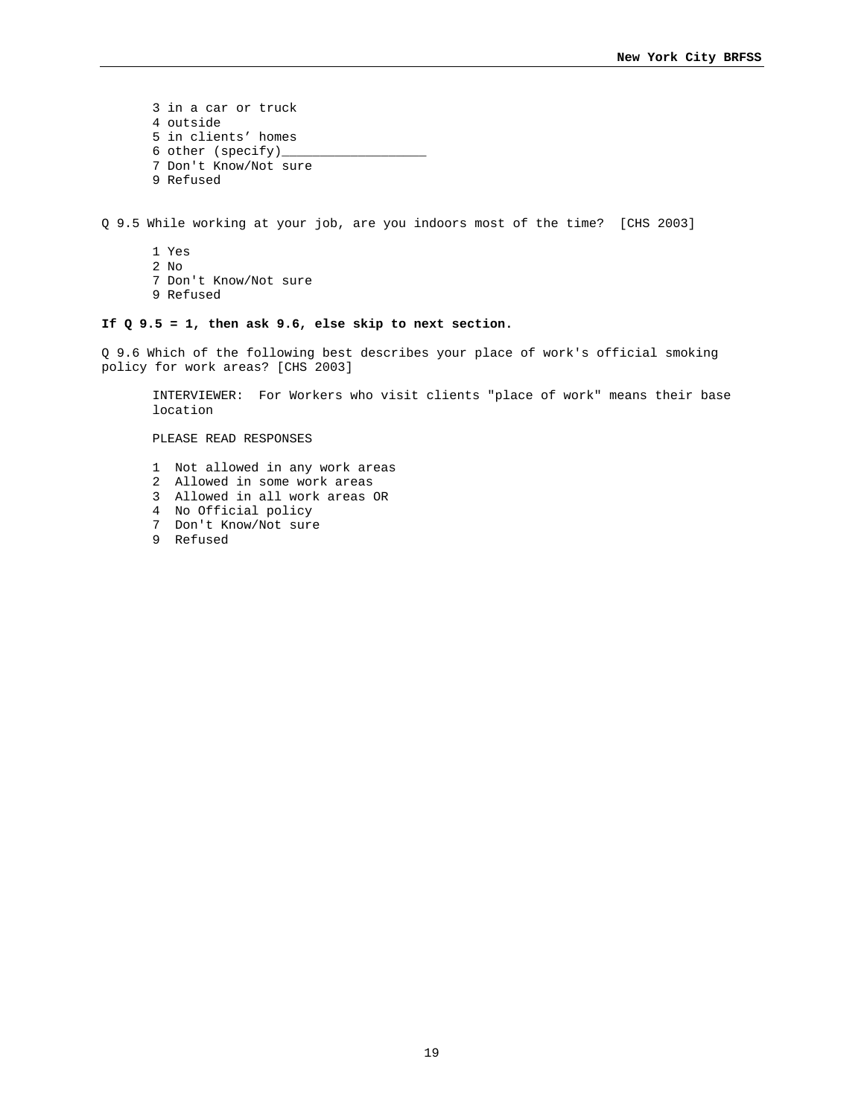3 in a car or truck 4 outside 5 in clients' homes 6 other (specify)\_ 7 Don't Know/Not sure 9 Refused

Q 9.5 While working at your job, are you indoors most of the time? [CHS 2003]

1 Yes 2 No 7 Don't Know/Not sure 9 Refused

# **If Q 9.5 = 1, then ask 9.6, else skip to next section.**

Q 9.6 Which of the following best describes your place of work's official smoking policy for work areas? [CHS 2003]

INTERVIEWER: For Workers who visit clients "place of work" means their base location

PLEASE READ RESPONSES

- 1 Not allowed in any work areas
- 2 Allowed in some work areas
- 3 Allowed in all work areas OR
- 4 No Official policy
- 7 Don't Know/Not sure
- 9 Refused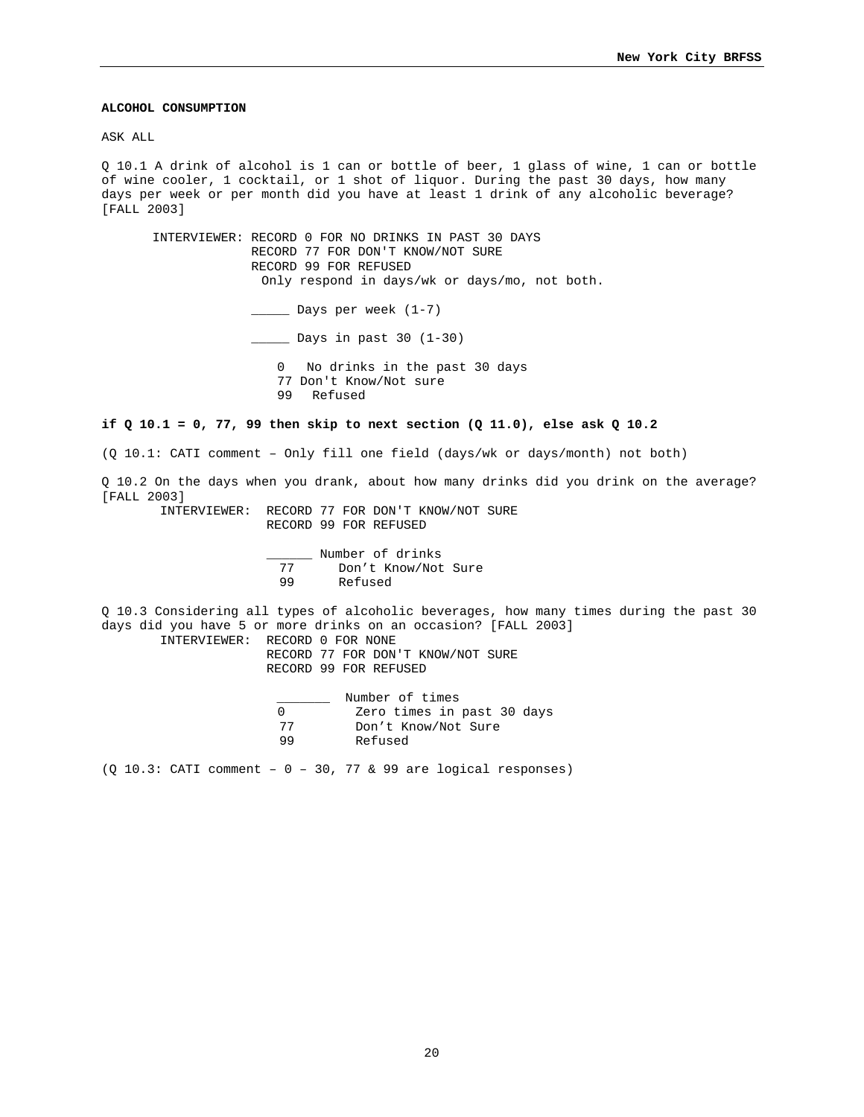## **ALCOHOL CONSUMPTION**

ASK ALL

Q 10.1 A drink of alcohol is 1 can or bottle of beer, 1 glass of wine, 1 can or bottle of wine cooler, 1 cocktail, or 1 shot of liquor. During the past 30 days, how many days per week or per month did you have at least 1 drink of any alcoholic beverage? [FALL 2003]

INTERVIEWER: RECORD 0 FOR NO DRINKS IN PAST 30 DAYS RECORD 77 FOR DON'T KNOW/NOT SURE RECORD 99 FOR REFUSED Only respond in days/wk or days/mo, not both. \_\_\_\_\_ Days per week (1-7) \_\_\_\_\_ Days in past 30 (1-30) 0 No drinks in the past 30 days 77 Don't Know/Not sure 99 Refused

### **if Q 10.1 = 0, 77, 99 then skip to next section (Q 11.0), else ask Q 10.2**

(Q 10.1: CATI comment – Only fill one field (days/wk or days/month) not both)

Q 10.2 On the days when you drank, about how many drinks did you drink on the average? [FALL 2003]

 INTERVIEWER: RECORD 77 FOR DON'T KNOW/NOT SURE RECORD 99 FOR REFUSED

> Wumber of drinks<br>
> T7 Don't Know/Not 77 Don't Know/Not Sure 99 Refused

Q 10.3 Considering all types of alcoholic beverages, how many times during the past 30 days did you have 5 or more drinks on an occasion? [FALL 2003]

INTERVIEWER: RECORD 0 FOR NONE

 RECORD 77 FOR DON'T KNOW/NOT SURE RECORD 99 FOR REFUSED

|    | Number of times            |
|----|----------------------------|
|    | Zero times in past 30 days |
| 77 | Don't Know/Not Sure        |
| 99 | Refused                    |

 $(Q 10.3: CATI comment - 0 - 30, 77 & 99 are logical responses)$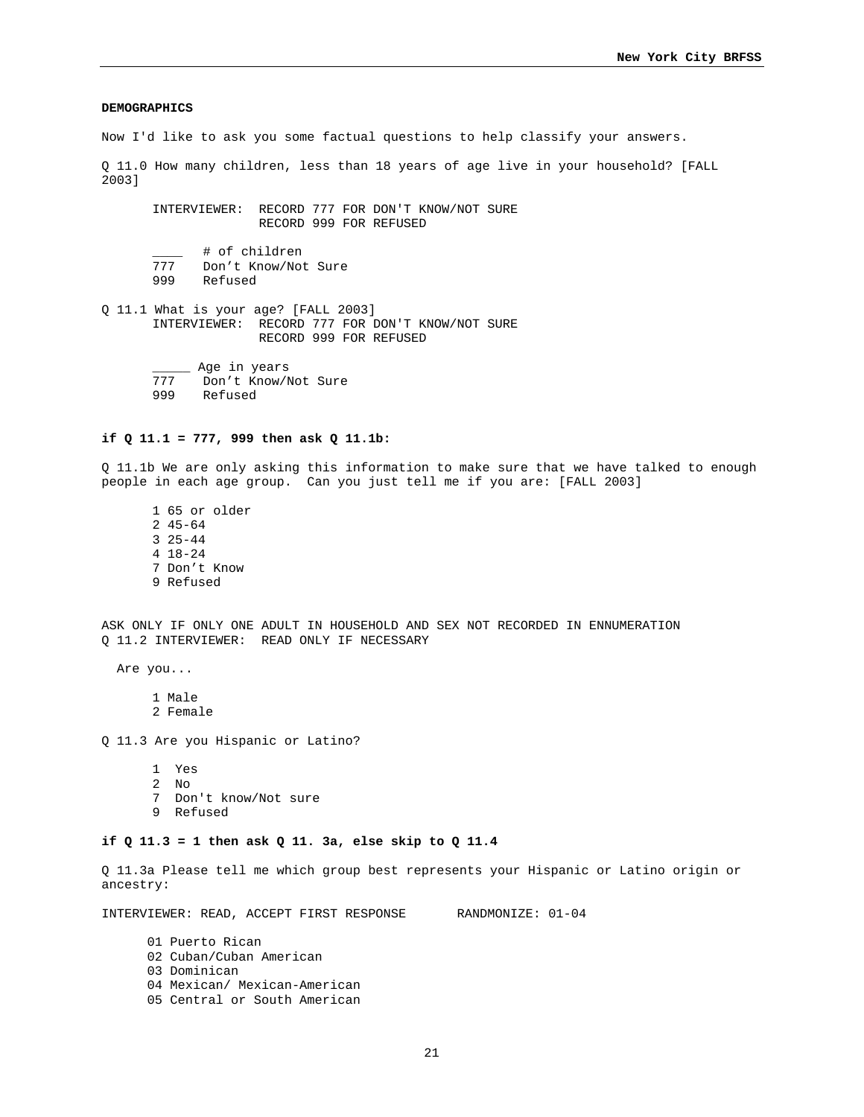### **DEMOGRAPHICS**

Now I'd like to ask you some factual questions to help classify your answers.

Q 11.0 How many children, less than 18 years of age live in your household? [FALL 2003]

INTERVIEWER: RECORD 777 FOR DON'T KNOW/NOT SURE RECORD 999 FOR REFUSED

\_\_\_\_ # of children<br>777 Don't Know/Not 777 Don't Know/Not Sure<br>999 Refused Refused

Q 11.1 What is your age? [FALL 2003] INTERVIEWER: RECORD 777 FOR DON'T KNOW/NOT SURE RECORD 999 FOR REFUSED

> Age in years<br>777 Don't Know/ 777 Don't Know/Not Sure<br>999 Refused Refused

#### **if Q 11.1 = 777, 999 then ask Q 11.1b:**

Q 11.1b We are only asking this information to make sure that we have talked to enough people in each age group. Can you just tell me if you are: [FALL 2003]

1 65 or older 2 45-64 3 25-44 4 18-24 7 Don't Know 9 Refused

ASK ONLY IF ONLY ONE ADULT IN HOUSEHOLD AND SEX NOT RECORDED IN ENNUMERATION Q 11.2 INTERVIEWER: READ ONLY IF NECESSARY

Are you...

1 Male 2 Female

Q 11.3 Are you Hispanic or Latino?

- 1 Yes
- 2 No
- 7 Don't know/Not sure
- 9 Refused

#### **if Q 11.3 = 1 then ask Q 11. 3a, else skip to Q 11.4**

Q 11.3a Please tell me which group best represents your Hispanic or Latino origin or ancestry:

INTERVIEWER: READ, ACCEPT FIRST RESPONSE RANDMONIZE: 01-04

- 01 Puerto Rican
- 02 Cuban/Cuban American
- 03 Dominican
- 04 Mexican/ Mexican-American
- 05 Central or South American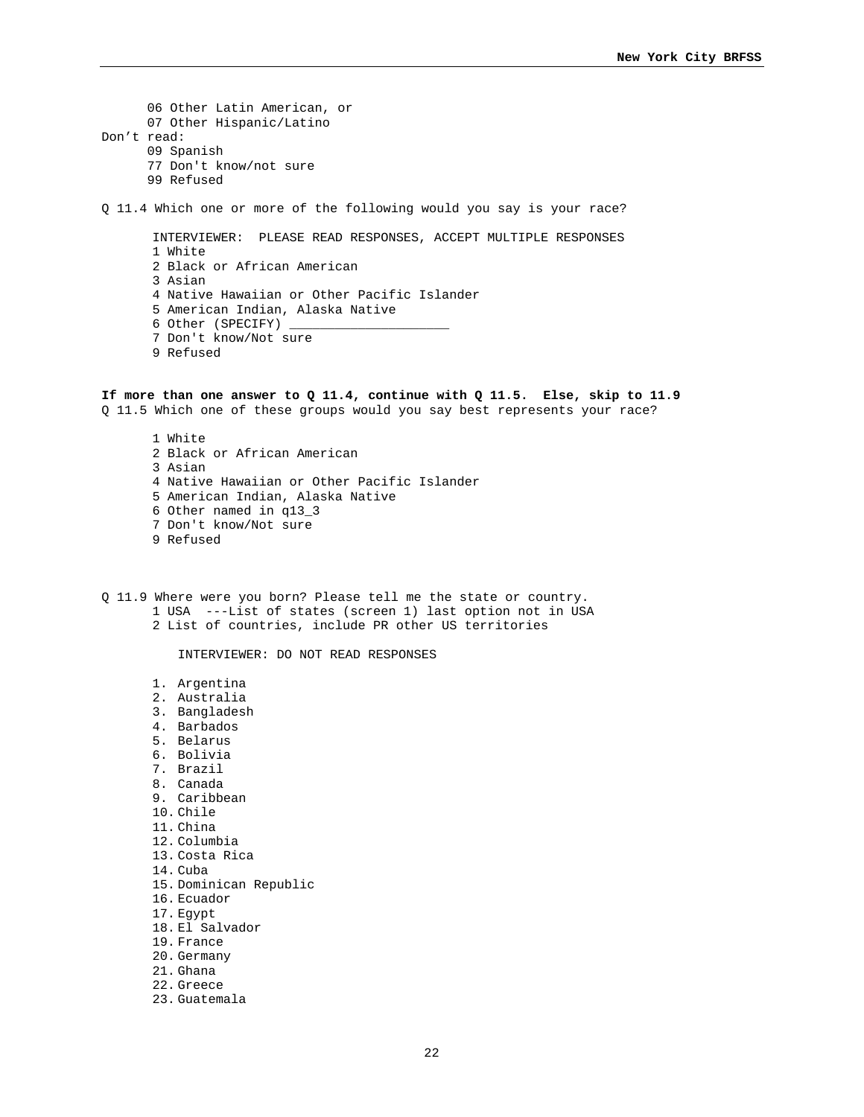06 Other Latin American, or 07 Other Hispanic/Latino Don't read: 09 Spanish 77 Don't know/not sure 99 Refused Q 11.4 Which one or more of the following would you say is your race? INTERVIEWER: PLEASE READ RESPONSES, ACCEPT MULTIPLE RESPONSES 1 White 2 Black or African American 3 Asian 4 Native Hawaiian or Other Pacific Islander 5 American Indian, Alaska Native 6 Other (SPECIFY) 7 Don't know/Not sure 9 Refused **If more than one answer to Q 11.4, continue with Q 11.5. Else, skip to 11.9**  Q 11.5 Which one of these groups would you say best represents your race? 1 White 2 Black or African American 3 Asian 4 Native Hawaiian or Other Pacific Islander 5 American Indian, Alaska Native 6 Other named in q13\_3 7 Don't know/Not sure 9 Refused Q 11.9 Where were you born? Please tell me the state or country. 1 USA ---List of states (screen 1) last option not in USA 2 List of countries, include PR other US territories INTERVIEWER: DO NOT READ RESPONSES 1. Argentina 2. Australia 3. Bangladesh 4. Barbados 5. Belarus 6. Bolivia 7. Brazil 8. Canada 9. Caribbean 10. Chile 11. China 12. Columbia 13. Costa Rica 14. Cuba 15. Dominican Republic 16. Ecuador 17. Egypt 18. El Salvador

19. France 20. Germany 21. Ghana 22. Greece 23. Guatemala

22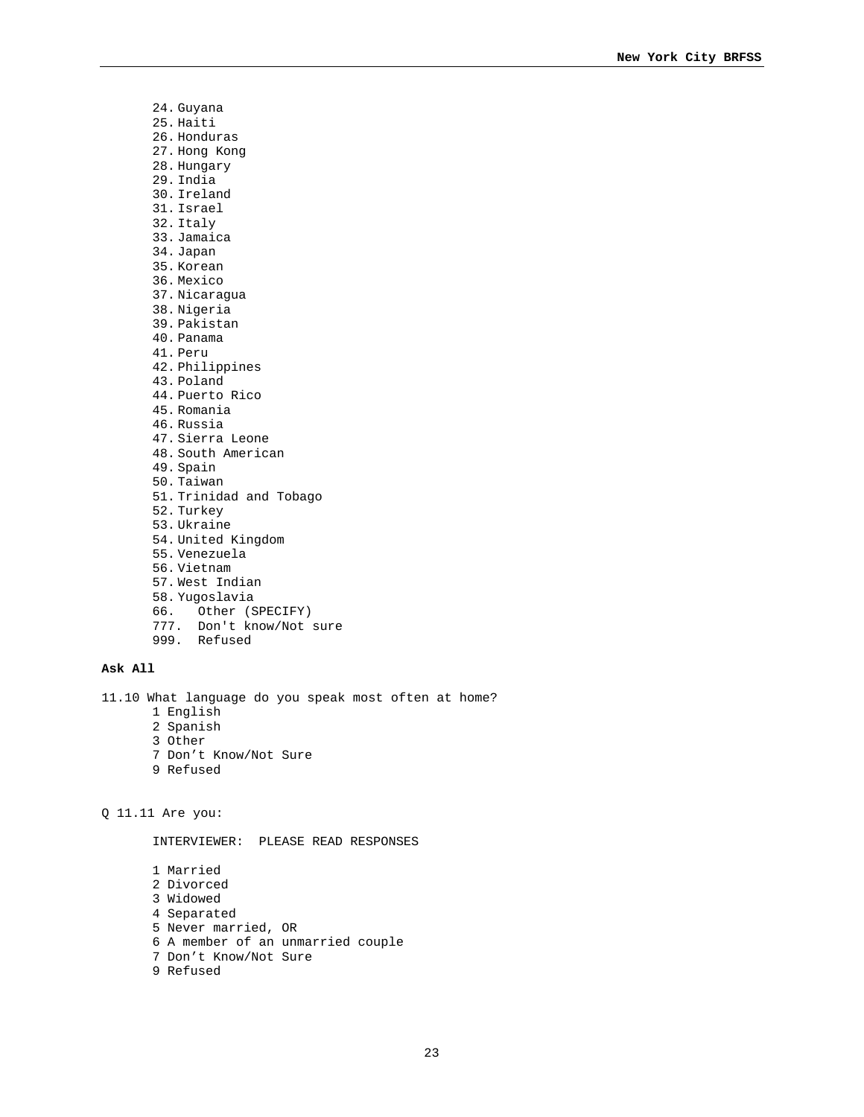24. Guyana 25. Haiti 26. Honduras 27. Hong Kong 28. Hungary 29. India 30. Ireland 31. Israel 32. Italy 33. Jamaica 34. Japan 35. Korean 36. Mexico 37. Nicaragua 38. Nigeria 39. Pakistan 40. Panama 41. Peru 42. Philippines 43. Poland 44. Puerto Rico 45. Romania 46. Russia 47. Sierra Leone 48. South American 49. Spain 50. Taiwan 51. Trinidad and Tobago 52. Turkey 53. Ukraine 54. United Kingdom 55. Venezuela 56. Vietnam 57. West Indian 58. Yugoslavia 66. Other (SPECIFY) 777. Don't know/Not sure

# **Ask All**

11.10 What language do you speak most often at home?

1 English

999. Refused

- 2 Spanish
- 3 Other
- 7 Don't Know/Not Sure
- 9 Refused

Q 11.11 Are you:

INTERVIEWER: PLEASE READ RESPONSES

1 Married 2 Divorced 3 Widowed 4 Separated 5 Never married, OR 6 A member of an unmarried couple 7 Don't Know/Not Sure 9 Refused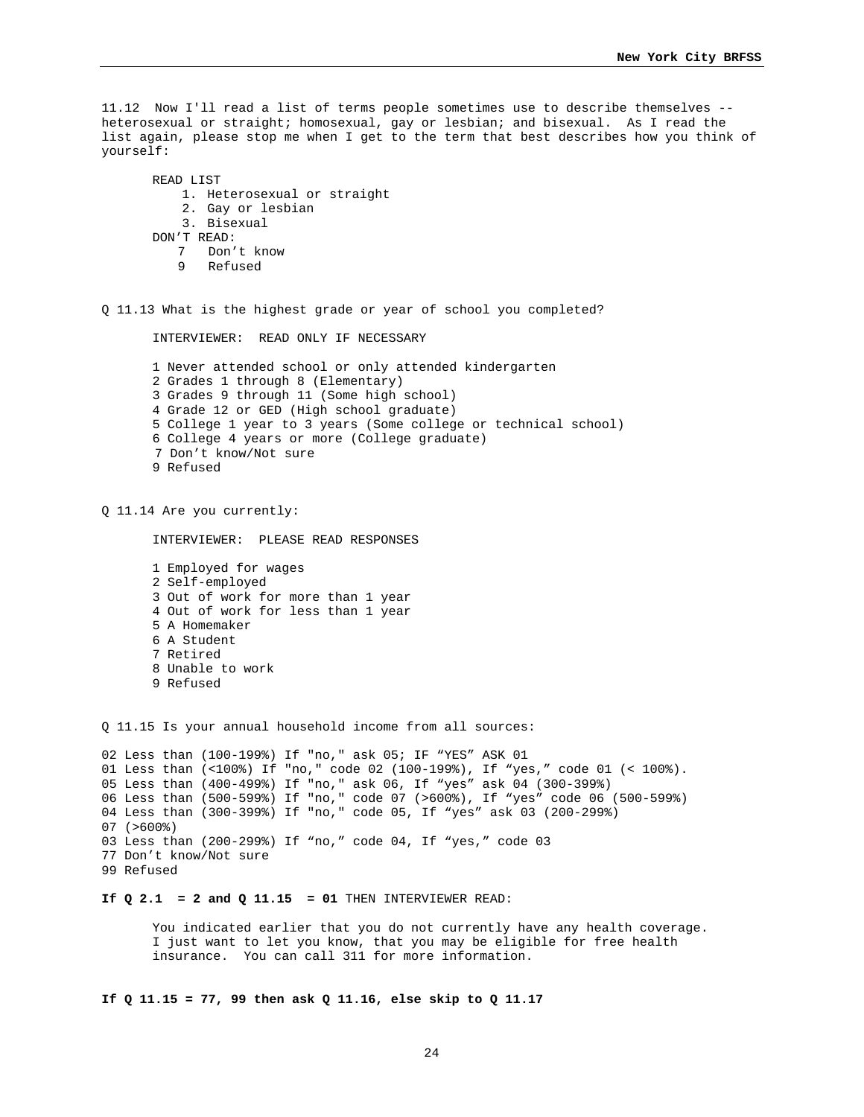11.12 Now I'll read a list of terms people sometimes use to describe themselves - heterosexual or straight; homosexual, gay or lesbian; and bisexual. As I read the list again, please stop me when I get to the term that best describes how you think of yourself:

```
READ LIST 
    1. Heterosexual or straight 
    2. Gay or lesbian 
    3. Bisexual 
DON'T READ: 
   7 Don't know 
   9 Refused
```
Q 11.13 What is the highest grade or year of school you completed?

INTERVIEWER: READ ONLY IF NECESSARY

1 Never attended school or only attended kindergarten 2 Grades 1 through 8 (Elementary) 3 Grades 9 through 11 (Some high school) 4 Grade 12 or GED (High school graduate) 5 College 1 year to 3 years (Some college or technical school) 6 College 4 years or more (College graduate) 7 Don't know/Not sure 9 Refused

Q 11.14 Are you currently:

INTERVIEWER: PLEASE READ RESPONSES

1 Employed for wages 2 Self-employed 3 Out of work for more than 1 year 4 Out of work for less than 1 year 5 A Homemaker 6 A Student 7 Retired 8 Unable to work 9 Refused

Q 11.15 Is your annual household income from all sources:

```
02 Less than (100-199%) If "no," ask 05; IF "YES" ASK 01 
01 Less than (<100%) If "no," code 02 (100-199%), If "yes," code 01 (< 100%). 
05 Less than (400-499%) If "no," ask 06, If "yes" ask 04 (300-399%) 
06 Less than (500-599%) If "no," code 07 (>600%), If "yes" code 06 (500-599%) 
04 Less than (300-399%) If "no," code 05, If "yes" ask 03 (200-299%) 
07 (>600%) 
03 Less than (200-299%) If "no," code 04, If "yes," code 03 
77 Don't know/Not sure 
99 Refused
```
# **If Q 2.1 = 2 and Q 11.15 = 01** THEN INTERVIEWER READ:

You indicated earlier that you do not currently have any health coverage. I just want to let you know, that you may be eligible for free health insurance. You can call 311 for more information.

**If Q 11.15 = 77, 99 then ask Q 11.16, else skip to Q 11.17**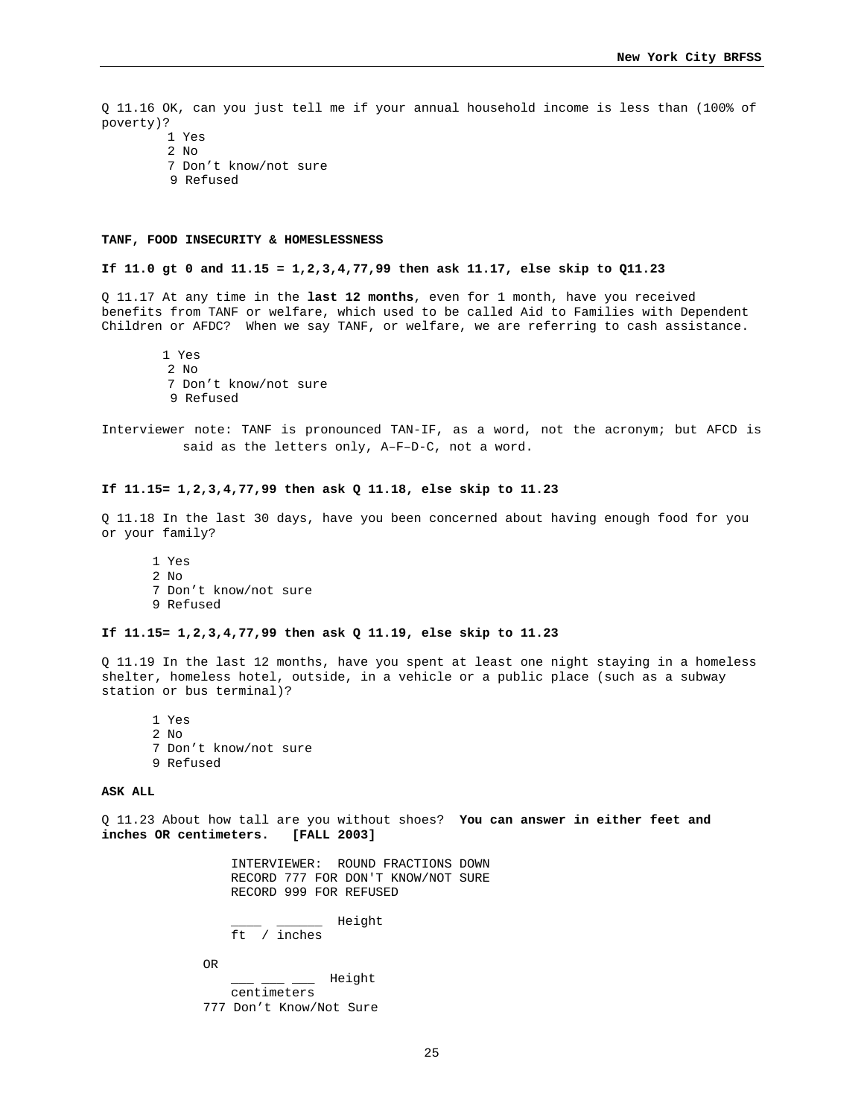Q 11.16 OK, can you just tell me if your annual household income is less than (100% of poverty)? 1 Yes

2  $N<sub>O</sub>$ 

- 7 Don't know/not sure
- 9 Refused

#### **TANF, FOOD INSECURITY & HOMESLESSNESS**

#### **If 11.0 gt 0 and 11.15 = 1,2,3,4,77,99 then ask 11.17, else skip to Q11.23**

Q 11.17 At any time in the **last 12 months**, even for 1 month, have you received benefits from TANF or welfare, which used to be called Aid to Families with Dependent Children or AFDC? When we say TANF, or welfare, we are referring to cash assistance.

 1 Yes 2 No 7 Don't know/not sure 9 Refused

Interviewer note: TANF is pronounced TAN-IF, as a word, not the acronym; but AFCD is said as the letters only, A–F–D-C, not a word.

#### **If 11.15= 1,2,3,4,77,99 then ask Q 11.18, else skip to 11.23**

Q 11.18 In the last 30 days, have you been concerned about having enough food for you or your family?

1 Yes 2 No 7 Don't know/not sure 9 Refused

#### **If 11.15= 1,2,3,4,77,99 then ask Q 11.19, else skip to 11.23**

Q 11.19 In the last 12 months, have you spent at least one night staying in a homeless shelter, homeless hotel, outside, in a vehicle or a public place (such as a subway station or bus terminal)?

1 Yes 2 No 7 Don't know/not sure 9 Refused

### **ASK ALL**

Q 11.23 About how tall are you without shoes? **You can answer in either feet and inches OR centimeters. [FALL 2003]** 

> INTERVIEWER: ROUND FRACTIONS DOWN RECORD 777 FOR DON'T KNOW/NOT SURE RECORD 999 FOR REFUSED

 \_\_\_\_ \_\_\_\_\_\_ Height ft / inches

OR

 \_\_\_ \_\_\_ \_\_\_ Height centimeters 777 Don't Know/Not Sure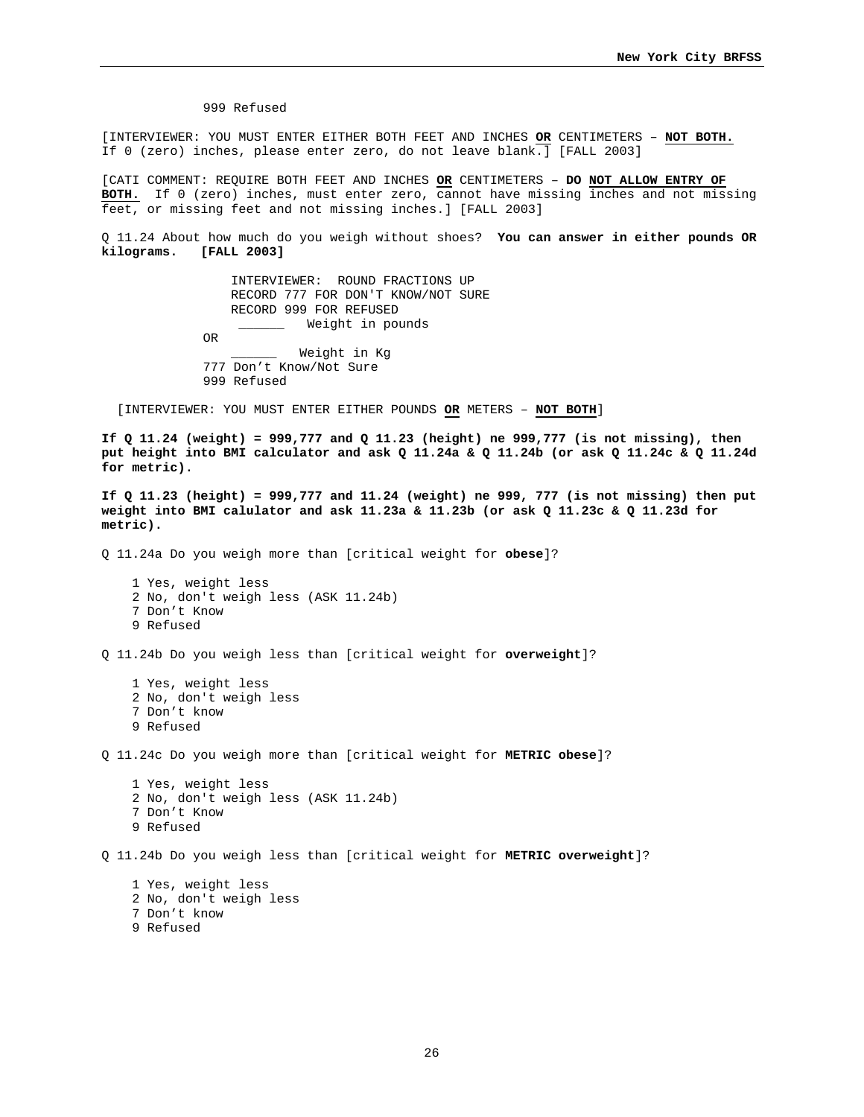999 Refused

[INTERVIEWER: YOU MUST ENTER EITHER BOTH FEET AND INCHES **OR** CENTIMETERS – **NOT BOTH.**  If 0 (zero) inches, please enter zero, do not leave blank.] [FALL 2003]

[CATI COMMENT: REQUIRE BOTH FEET AND INCHES **OR** CENTIMETERS – **DO NOT ALLOW ENTRY OF BOTH.** If 0 (zero) inches, must enter zero, cannot have missing inches and not missing feet, or missing feet and not missing inches.] [FALL 2003]

Q 11.24 About how much do you weigh without shoes? **You can answer in either pounds OR kilograms. [FALL 2003]**

> INTERVIEWER: ROUND FRACTIONS UP RECORD 777 FOR DON'T KNOW/NOT SURE RECORD 999 FOR REFUSED Weight in pounds OR \_\_\_\_\_\_ Weight in Kg 777 Don't Know/Not Sure 999 Refused

[INTERVIEWER: YOU MUST ENTER EITHER POUNDS **OR** METERS – **NOT BOTH**]

**If Q 11.24 (weight) = 999,777 and Q 11.23 (height) ne 999,777 (is not missing), then put height into BMI calculator and ask Q 11.24a & Q 11.24b (or ask Q 11.24c & Q 11.24d for metric).** 

**If Q 11.23 (height) = 999,777 and 11.24 (weight) ne 999, 777 (is not missing) then put weight into BMI calulator and ask 11.23a & 11.23b (or ask Q 11.23c & Q 11.23d for metric).** 

Q 11.24a Do you weigh more than [critical weight for **obese**]?

 1 Yes, weight less 2 No, don't weigh less (ASK 11.24b) 7 Don't Know 9 Refused

Q 11.24b Do you weigh less than [critical weight for **overweight**]?

 1 Yes, weight less 2 No, don't weigh less 7 Don't know 9 Refused

Q 11.24c Do you weigh more than [critical weight for **METRIC obese**]?

 1 Yes, weight less 2 No, don't weigh less (ASK 11.24b) 7 Don't Know 9 Refused

Q 11.24b Do you weigh less than [critical weight for **METRIC overweight**]?

 1 Yes, weight less 2 No, don't weigh less 7 Don't know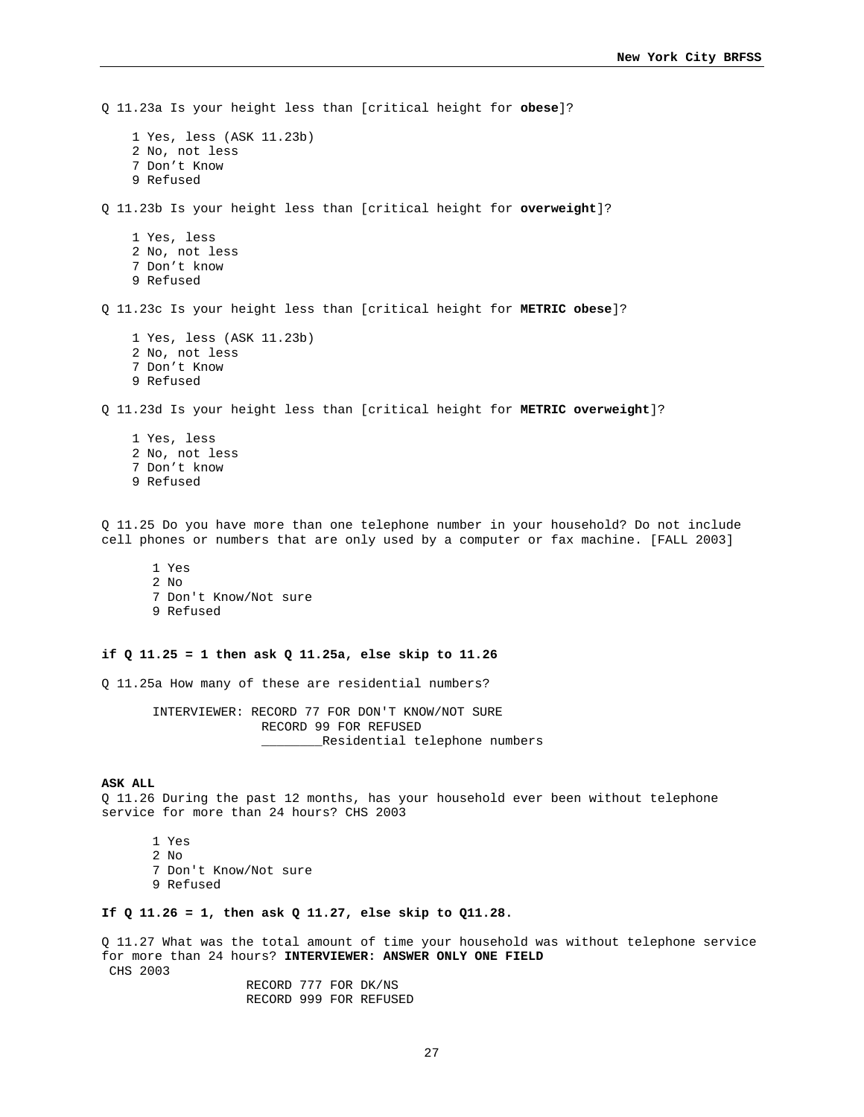Q 11.23a Is your height less than [critical height for **obese**]? 1 Yes, less (ASK 11.23b) 2 No, not less 7 Don't Know 9 Refused Q 11.23b Is your height less than [critical height for **overweight**]? 1 Yes, less 2 No, not less 7 Don't know 9 Refused Q 11.23c Is your height less than [critical height for **METRIC obese**]? 1 Yes, less (ASK 11.23b) 2 No, not less 7 Don't Know 9 Refused Q 11.23d Is your height less than [critical height for **METRIC overweight**]? 1 Yes, less 2 No, not less 7 Don't know 9 Refused Q 11.25 Do you have more than one telephone number in your household? Do not include cell phones or numbers that are only used by a computer or fax machine. [FALL 2003] 1 Yes 2 No 7 Don't Know/Not sure 9 Refused **if Q 11.25 = 1 then ask Q 11.25a, else skip to 11.26**  Q 11.25a How many of these are residential numbers? INTERVIEWER: RECORD 77 FOR DON'T KNOW/NOT SURE RECORD 99 FOR REFUSED Residential telephone numbers **ASK ALL**  Q 11.26 During the past 12 months, has your household ever been without telephone service for more than 24 hours? CHS 2003 1 Yes 2 No 7 Don't Know/Not sure 9 Refused **If Q 11.26 = 1, then ask Q 11.27, else skip to Q11.28.**  Q 11.27 What was the total amount of time your household was without telephone service for more than 24 hours? **INTERVIEWER: ANSWER ONLY ONE FIELD**

CHS 2003

 RECORD 777 FOR DK/NS RECORD 999 FOR REFUSED

27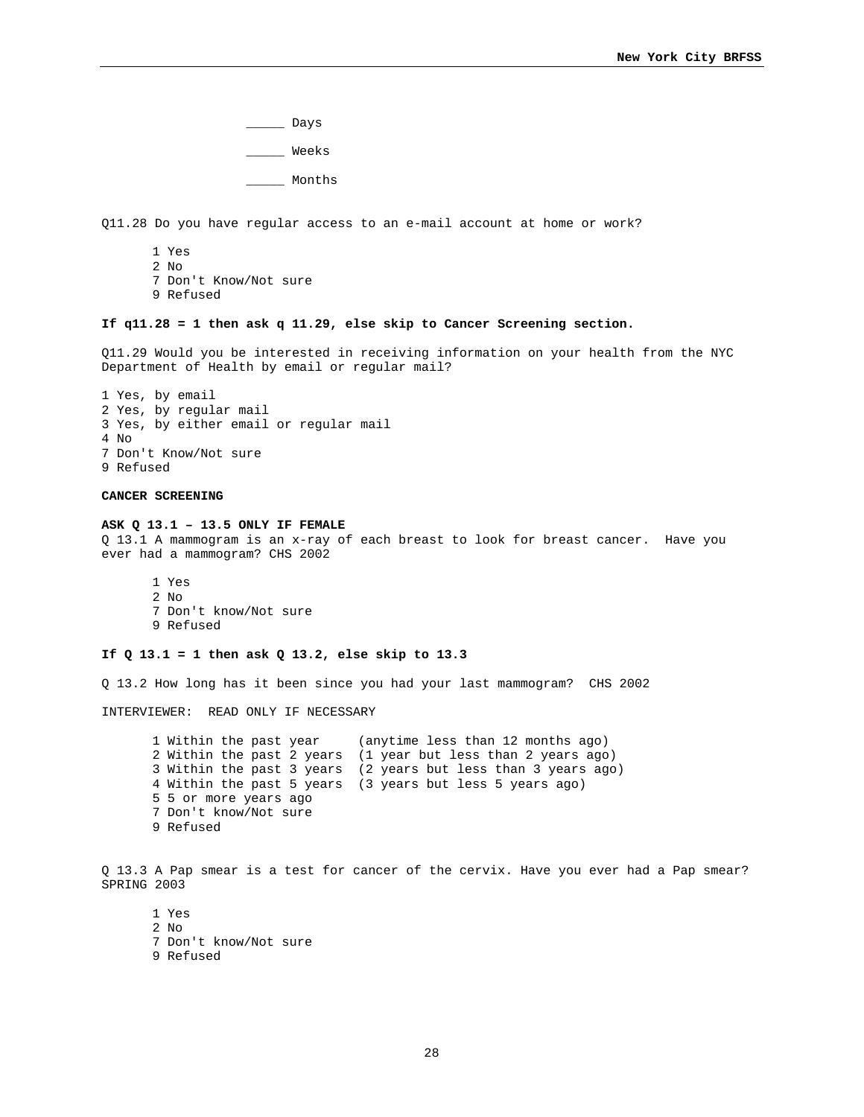$\rule{1em}{0.15mm}$  Days \_\_\_\_\_ Weeks \_\_\_\_\_ Months

Q11.28 Do you have regular access to an e-mail account at home or work?

- 1 Yes 2 No 7 Don't Know/Not sure 9 Refused
- 

# **If q11.28 = 1 then ask q 11.29, else skip to Cancer Screening section.**

Q11.29 Would you be interested in receiving information on your health from the NYC Department of Health by email or regular mail?

```
1 Yes, by email 
2 Yes, by regular mail 
3 Yes, by either email or regular mail 
4 N<sub>O</sub>7 Don't Know/Not sure 
9 Refused
```
# **CANCER SCREENING**

#### **ASK Q 13.1 – 13.5 ONLY IF FEMALE**

Q 13.1 A mammogram is an x-ray of each breast to look for breast cancer. Have you ever had a mammogram? CHS 2002

1 Yes 2 No 7 Don't know/Not sure 9 Refused

# **If Q 13.1 = 1 then ask Q 13.2, else skip to 13.3**

Q 13.2 How long has it been since you had your last mammogram? CHS 2002

INTERVIEWER: READ ONLY IF NECESSARY

1 Within the past year (anytime less than 12 months ago) 2 Within the past 2 years (1 year but less than 2 years ago) 3 Within the past 3 years (2 years but less than 3 years ago) 4 Within the past 5 years (3 years but less 5 years ago) 5 5 or more years ago 7 Don't know/Not sure 9 Refused

Q 13.3 A Pap smear is a test for cancer of the cervix. Have you ever had a Pap smear? SPRING 2003

1 Yes 2 No 7 Don't know/Not sure 9 Refused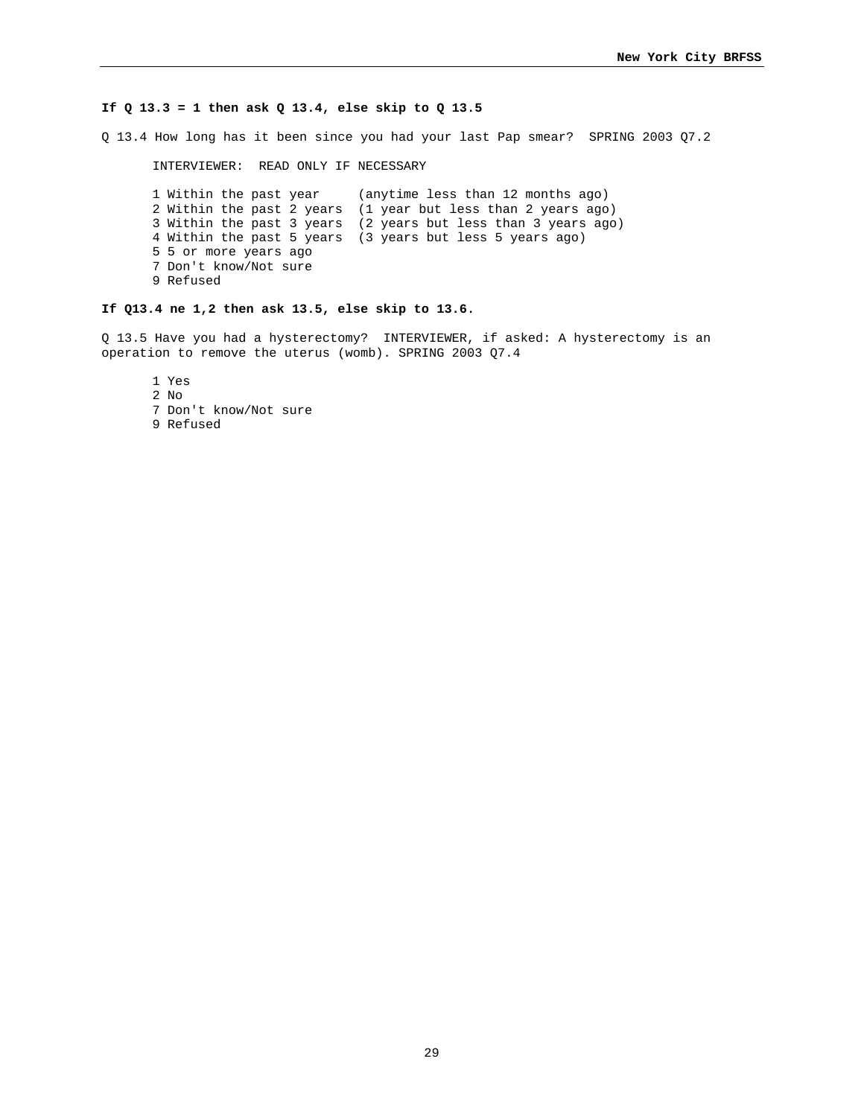### **If Q 13.3 = 1 then ask Q 13.4, else skip to Q 13.5**

Q 13.4 How long has it been since you had your last Pap smear? SPRING 2003 Q7.2

INTERVIEWER: READ ONLY IF NECESSARY

1 Within the past year (anytime less than 12 months ago) 2 Within the past 2 years (1 year but less than 2 years ago) 3 Within the past 3 years (2 years but less than 3 years ago) 4 Within the past 5 years (3 years but less 5 years ago) 5 5 or more years ago 7 Don't know/Not sure 9 Refused

# **If Q13.4 ne 1,2 then ask 13.5, else skip to 13.6.**

Q 13.5 Have you had a hysterectomy? INTERVIEWER, if asked: A hysterectomy is an operation to remove the uterus (womb). SPRING 2003 Q7.4

1 Yes

2 No

7 Don't know/Not sure

9 Refused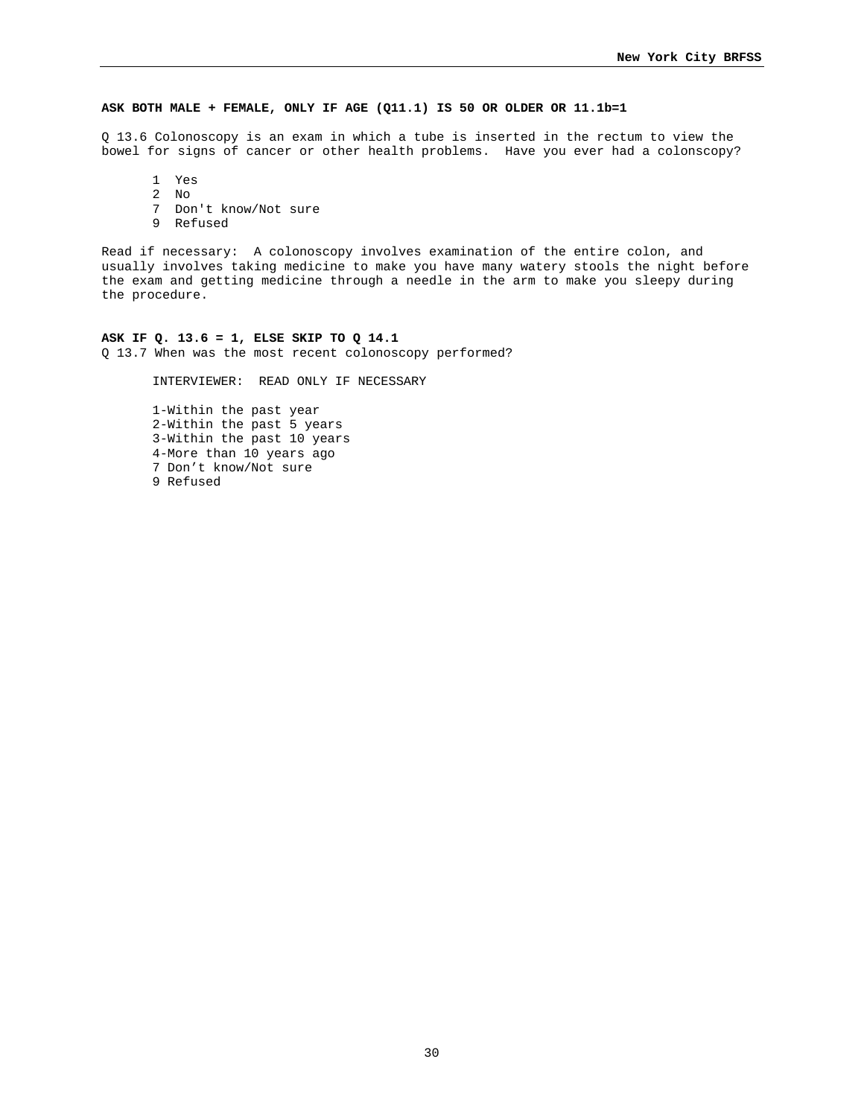### **ASK BOTH MALE + FEMALE, ONLY IF AGE (Q11.1) IS 50 OR OLDER OR 11.1b=1**

Q 13.6 Colonoscopy is an exam in which a tube is inserted in the rectum to view the bowel for signs of cancer or other health problems. Have you ever had a colonscopy?

1 Yes

 $\frac{2}{7}$  No

Don't know/Not sure

9 Refused

Read if necessary: A colonoscopy involves examination of the entire colon, and usually involves taking medicine to make you have many watery stools the night before the exam and getting medicine through a needle in the arm to make you sleepy during the procedure.

#### **ASK IF Q. 13.6 = 1, ELSE SKIP TO Q 14.1**

Q 13.7 When was the most recent colonoscopy performed?

INTERVIEWER: READ ONLY IF NECESSARY

1-Within the past year 2-Within the past 5 years 3-Within the past 10 years 4-More than 10 years ago 7 Don't know/Not sure 9 Refused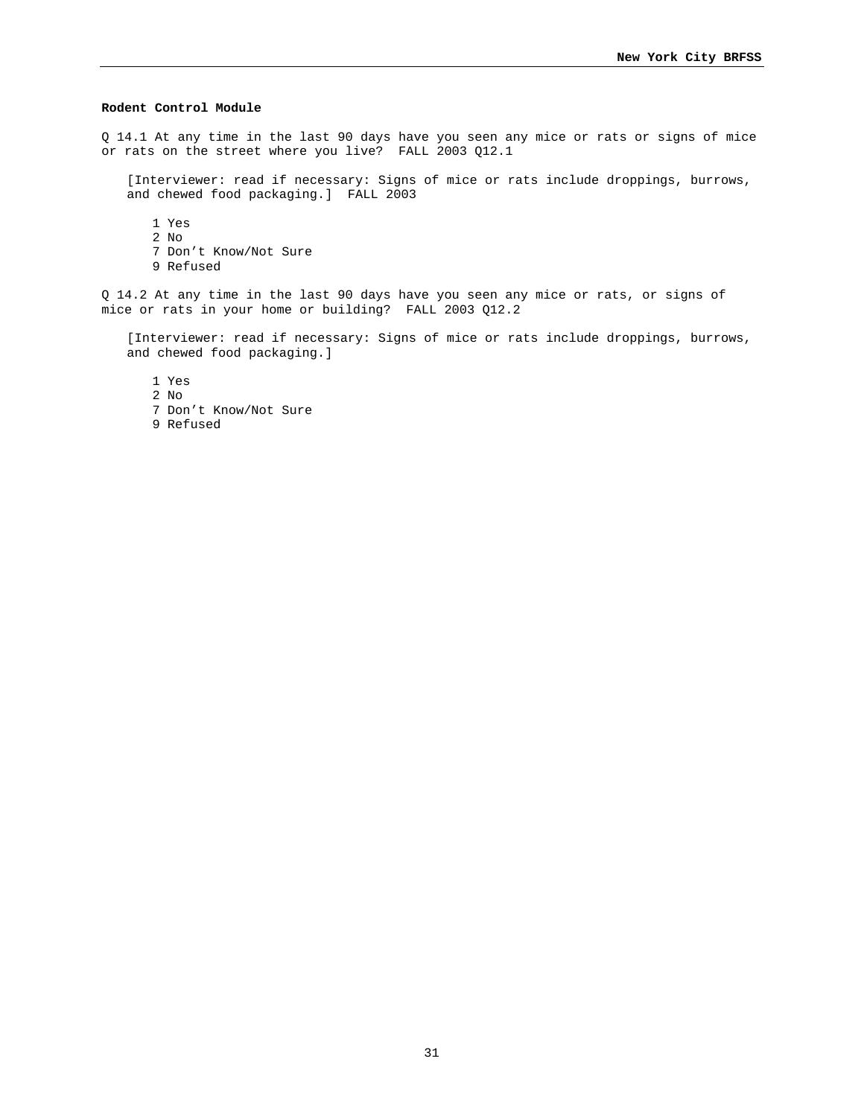# **Rodent Control Module**

Q 14.1 At any time in the last 90 days have you seen any mice or rats or signs of mice or rats on the street where you live? FALL 2003 Q12.1

[Interviewer: read if necessary: Signs of mice or rats include droppings, burrows, and chewed food packaging.] FALL 2003

1 Yes 2 No 7 Don't Know/Not Sure 9 Refused

Q 14.2 At any time in the last 90 days have you seen any mice or rats, or signs of mice or rats in your home or building? FALL 2003 Q12.2

[Interviewer: read if necessary: Signs of mice or rats include droppings, burrows, and chewed food packaging.]

1 Yes

2 No

- 7 Don't Know/Not Sure
- 9 Refused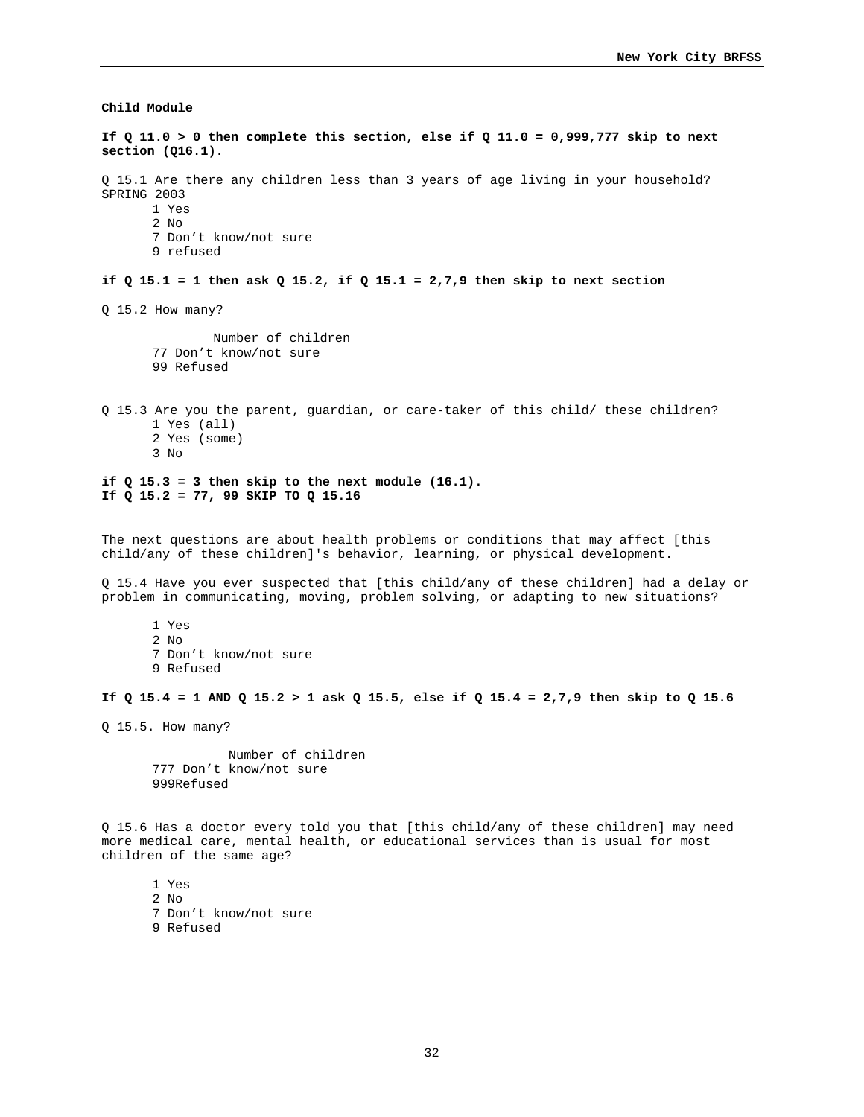**Child Module** 

**If Q 11.0 > 0 then complete this section, else if Q 11.0 = 0,999,777 skip to next section (Q16.1).**  Q 15.1 Are there any children less than 3 years of age living in your household? SPRING 2003 1 Yes 2 No 7 Don't know/not sure 9 refused **if Q 15.1 = 1 then ask Q 15.2, if Q 15.1 = 2,7,9 then skip to next section**  Q 15.2 How many? \_\_\_\_\_\_\_ Number of children 77 Don't know/not sure 99 Refused Q 15.3 Are you the parent, guardian, or care-taker of this child/ these children? 1 Yes (all) 2 Yes (some) 3 No **if Q 15.3 = 3 then skip to the next module (16.1). If Q 15.2 = 77, 99 SKIP TO Q 15.16**  The next questions are about health problems or conditions that may affect [this child/any of these children]'s behavior, learning, or physical development. Q 15.4 Have you ever suspected that [this child/any of these children] had a delay or problem in communicating, moving, problem solving, or adapting to new situations? 1 Yes 2 No 7 Don't know/not sure 9 Refused **If Q 15.4 = 1 AND Q 15.2 > 1 ask Q 15.5, else if Q 15.4 = 2,7,9 then skip to Q 15.6**  Q 15.5. How many? Number of children 777 Don't know/not sure 999Refused

Q 15.6 Has a doctor every told you that [this child/any of these children] may need more medical care, mental health, or educational services than is usual for most children of the same age?

1 Yes 2  $N<sub>0</sub>$ 7 Don't know/not sure 9 Refused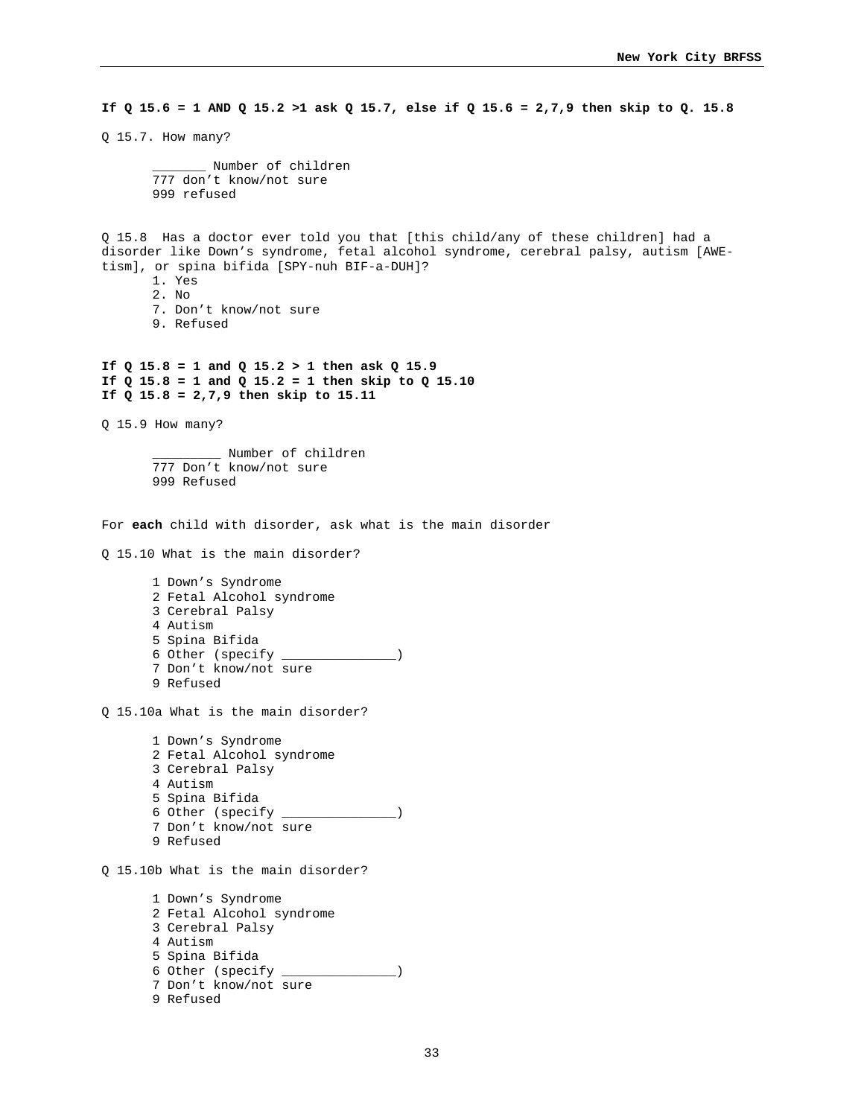**If Q 15.6 = 1 AND Q 15.2 >1 ask Q 15.7, else if Q 15.6 = 2,7,9 then skip to Q. 15.8** 

Q 15.7. How many?

\_\_\_\_\_\_\_ Number of children 777 don't know/not sure 999 refused

Q 15.8 Has a doctor ever told you that [this child/any of these children] had a disorder like Down's syndrome, fetal alcohol syndrome, cerebral palsy, autism [AWEtism], or spina bifida [SPY-nuh BIF-a-DUH]?

- 1. Yes
- 2. No
- 7. Don't know/not sure
- 9. Refused

**If Q 15.8 = 1 and Q 15.2 > 1 then ask Q 15.9 If Q 15.8 = 1 and Q 15.2 = 1 then skip to Q 15.10 If Q 15.8 = 2,7,9 then skip to 15.11**

Q 15.9 How many?

\_\_\_\_\_\_\_\_\_ Number of children 777 Don't know/not sure 999 Refused

For **each** child with disorder, ask what is the main disorder

Q 15.10 What is the main disorder?

1 Down's Syndrome 2 Fetal Alcohol syndrome 3 Cerebral Palsy 4 Autism 5 Spina Bifida 6 Other (specify \_\_\_\_\_\_\_\_\_\_\_\_\_\_\_) 7 Don't know/not sure 9 Refused

Q 15.10a What is the main disorder?

1 Down's Syndrome 2 Fetal Alcohol syndrome 3 Cerebral Palsy 4 Autism 5 Spina Bifida 6 Other (specify \_\_\_\_\_\_\_\_\_\_\_\_\_\_\_) 7 Don't know/not sure 9 Refused

Q 15.10b What is the main disorder?

```
1 Down's Syndrome 
2 Fetal Alcohol syndrome 
3 Cerebral Palsy 
4 Autism 
5 Spina Bifida 
6 Other (specify _______________) 
7 Don't know/not sure 
9 Refused
```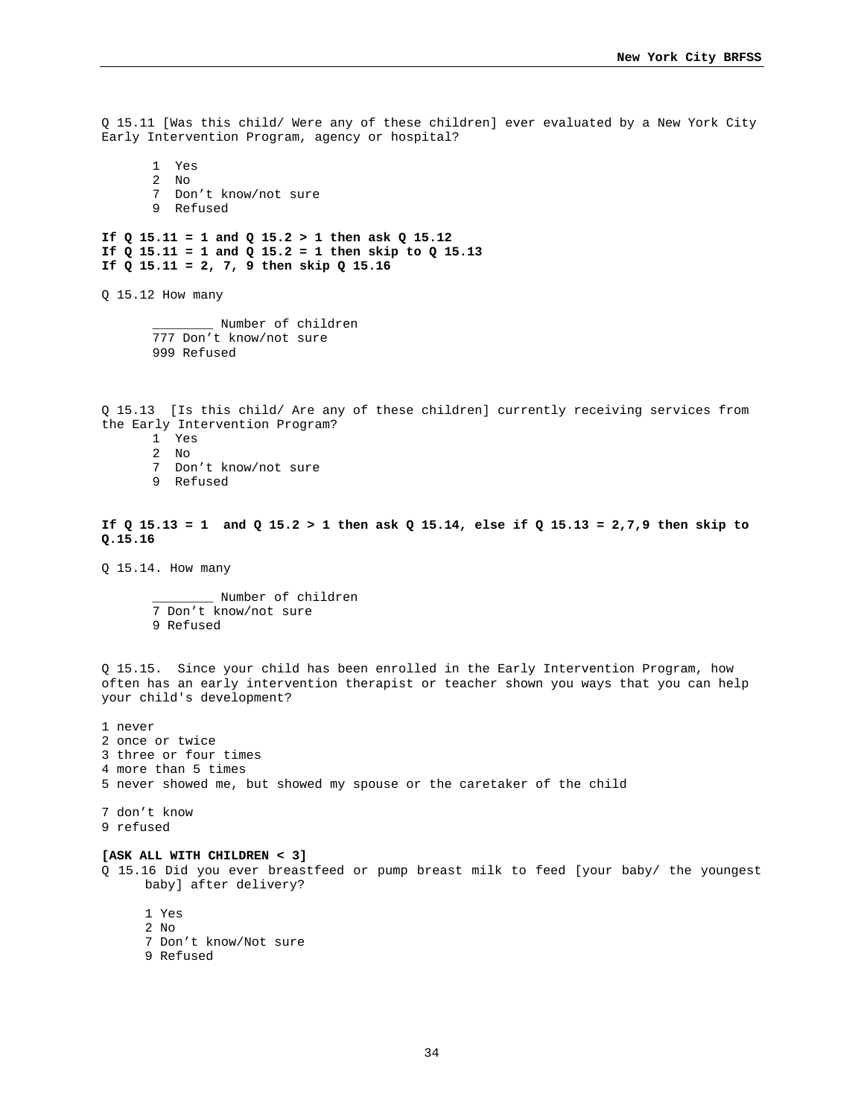Q 15.11 [Was this child/ Were any of these children] ever evaluated by a New York City Early Intervention Program, agency or hospital?

1 Yes 2 No 7 Don't know/not sure 9 Refused

**If Q 15.11 = 1 and Q 15.2 > 1 then ask Q 15.12 If Q 15.11 = 1 and Q 15.2 = 1 then skip to Q 15.13 If Q 15.11 = 2, 7, 9 then skip Q 15.16** 

Q 15.12 How many

\_\_\_\_\_\_\_\_ Number of children 777 Don't know/not sure 999 Refused

Q 15.13 [Is this child/ Are any of these children] currently receiving services from the Early Intervention Program?

- 1 Yes
- $\overline{2}$  No
- 7 Don't know/not sure
- 9 Refused

**If Q 15.13 = 1 and Q 15.2 > 1 then ask Q 15.14, else if Q 15.13 = 2,7,9 then skip to Q.15.16** 

Q 15.14. How many

\_\_\_\_\_\_\_\_ Number of children 7 Don't know/not sure 9 Refused

Q 15.15. Since your child has been enrolled in the Early Intervention Program, how often has an early intervention therapist or teacher shown you ways that you can help your child's development?

1 never 2 once or twice 3 three or four times 4 more than 5 times 5 never showed me, but showed my spouse or the caretaker of the child

7 don't know

9 refused

#### **[ASK ALL WITH CHILDREN < 3]**

Q 15.16 Did you ever breastfeed or pump breast milk to feed [your baby/ the youngest baby] after delivery?

1 Yes

- 2 No
- 7 Don't know/Not sure
- 9 Refused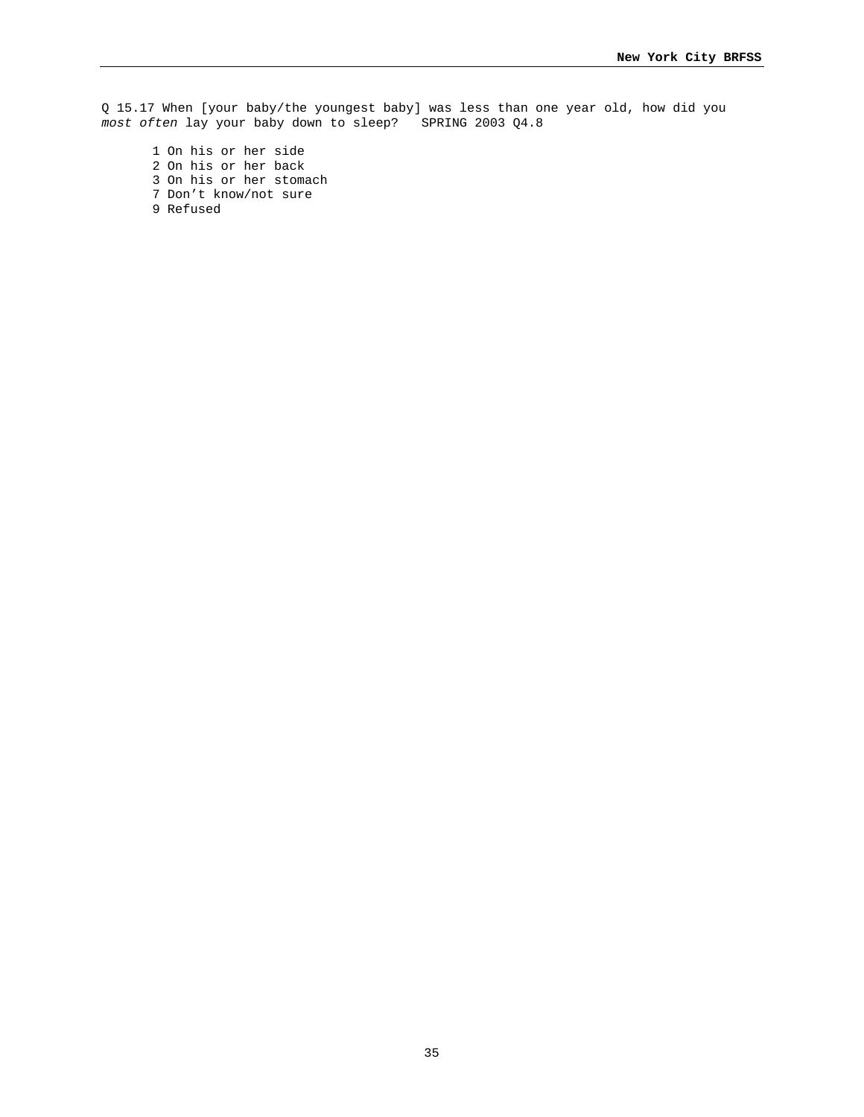Q 15.17 When [your baby/the youngest baby] was less than one year old, how did you *most often* lay your baby down to sleep? SPRING 2003 Q4.8

1 On his or her side 2 On his or her back 3 On his or her stomach 7 Don't know/not sure 9 Refused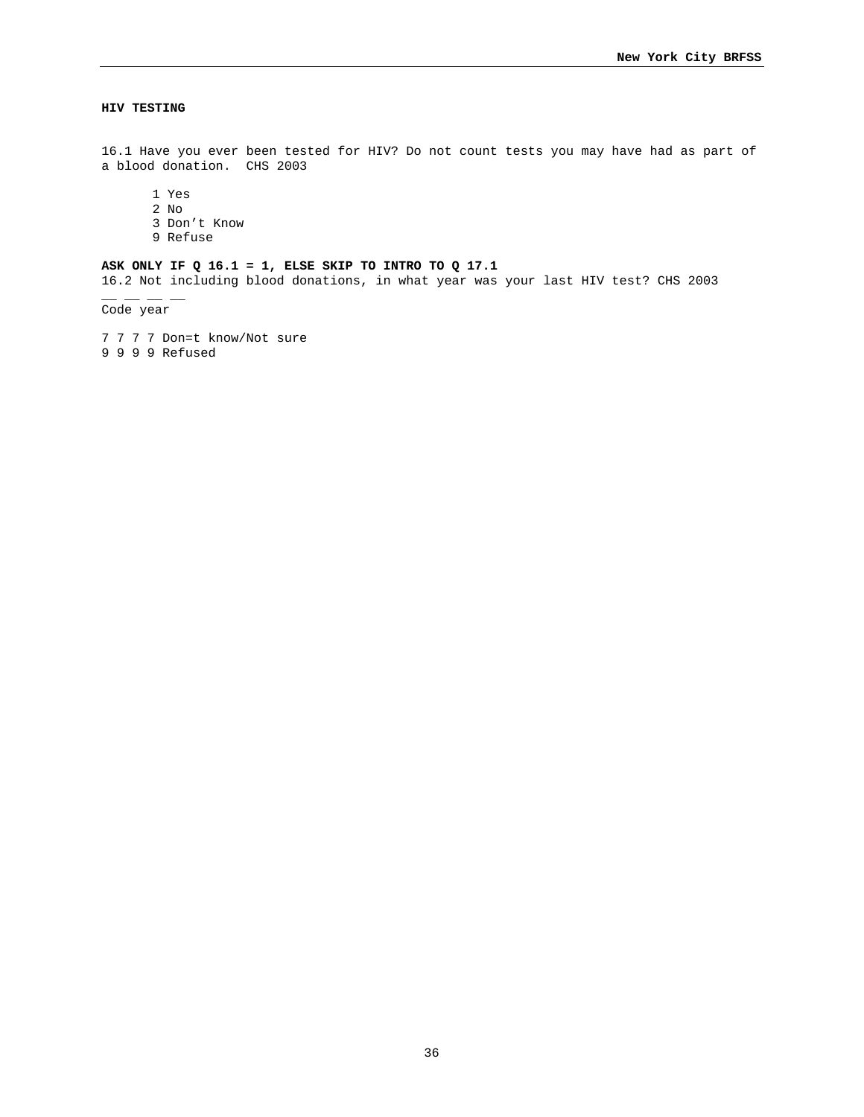# **HIV TESTING**

16.1 Have you ever been tested for HIV? Do not count tests you may have had as part of a blood donation. CHS 2003

1 Yes

- 2 No
- 3 Don't Know
- 9 Refuse

# **ASK ONLY IF Q 16.1 = 1, ELSE SKIP TO INTRO TO Q 17.1**

16.2 Not including blood donations, in what year was your last HIV test? CHS 2003

Code year

 $-$ 

7 7 7 7 Don=t know/Not sure 9 9 9 9 Refused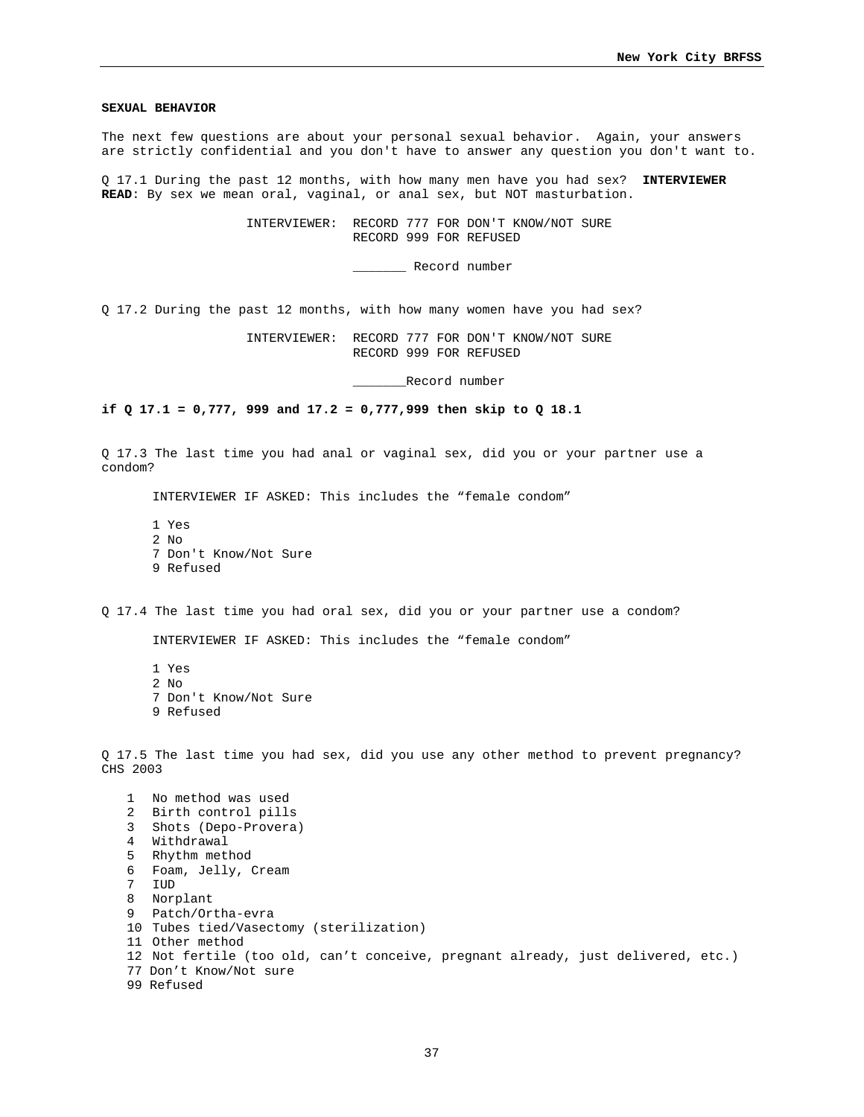#### **SEXUAL BEHAVIOR**

The next few questions are about your personal sexual behavior. Again, your answers are strictly confidential and you don't have to answer any question you don't want to.

Q 17.1 During the past 12 months, with how many men have you had sex? **INTERVIEWER READ**: By sex we mean oral, vaginal, or anal sex, but NOT masturbation.

> INTERVIEWER: RECORD 777 FOR DON'T KNOW/NOT SURE RECORD 999 FOR REFUSED

> > \_\_\_\_\_\_\_ Record number

Q 17.2 During the past 12 months, with how many women have you had sex?

 INTERVIEWER: RECORD 777 FOR DON'T KNOW/NOT SURE RECORD 999 FOR REFUSED

\_\_\_\_\_\_\_Record number

**if Q 17.1 = 0,777, 999 and 17.2 = 0,777,999 then skip to Q 18.1** 

Q 17.3 The last time you had anal or vaginal sex, did you or your partner use a condom?

INTERVIEWER IF ASKED: This includes the "female condom"

1 Yes 2 No 7 Don't Know/Not Sure 9 Refused

Q 17.4 The last time you had oral sex, did you or your partner use a condom?

INTERVIEWER IF ASKED: This includes the "female condom"

1 Yes 2  $N<sub>0</sub>$ 7 Don't Know/Not Sure 9 Refused

Q 17.5 The last time you had sex, did you use any other method to prevent pregnancy? CHS 2003

 No method was used Birth control pills Shots (Depo-Provera) Withdrawal Rhythm method Foam, Jelly, Cream 7 IUD Norplant Patch/Ortha-evra Tubes tied/Vasectomy (sterilization) Other method Not fertile (too old, can't conceive, pregnant already, just delivered, etc.) 77 Don't Know/Not sure 99 Refused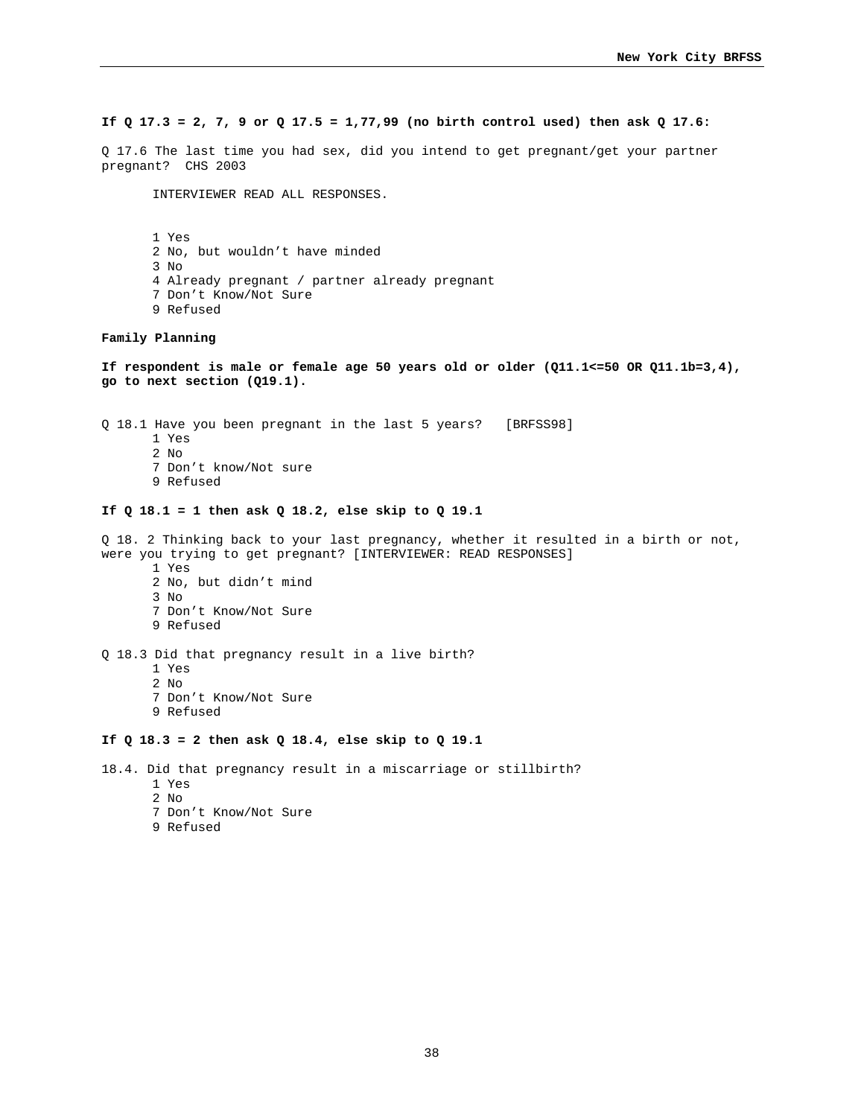## **If Q 17.3 = 2, 7, 9 or Q 17.5 = 1,77,99 (no birth control used) then ask Q 17.6:**

Q 17.6 The last time you had sex, did you intend to get pregnant/get your partner pregnant? CHS 2003

INTERVIEWER READ ALL RESPONSES.

 1 Yes 2 No, but wouldn't have minded 3 No 4 Already pregnant / partner already pregnant 7 Don't Know/Not Sure 9 Refused

#### **Family Planning**

**If respondent is male or female age 50 years old or older (Q11.1<=50 OR Q11.1b=3,4), go to next section (Q19.1).** 

Q 18.1 Have you been pregnant in the last 5 years? [BRFSS98] 1 Yes 2  $N<sub>0</sub>$ 7 Don't know/Not sure

9 Refused

# **If Q 18.1 = 1 then ask Q 18.2, else skip to Q 19.1**

Q 18. 2 Thinking back to your last pregnancy, whether it resulted in a birth or not, were you trying to get pregnant? [INTERVIEWER: READ RESPONSES] 1 Yes 2 No, but didn't mind 3 No 7 Don't Know/Not Sure 9 Refused Q 18.3 Did that pregnancy result in a live birth? 1 Yes 2 No 7 Don't Know/Not Sure 9 Refused **If Q 18.3 = 2 then ask Q 18.4, else skip to Q 19.1** 

18.4. Did that pregnancy result in a miscarriage or stillbirth?

- 1 Yes
- 2 No
- 7 Don't Know/Not Sure
- 9 Refused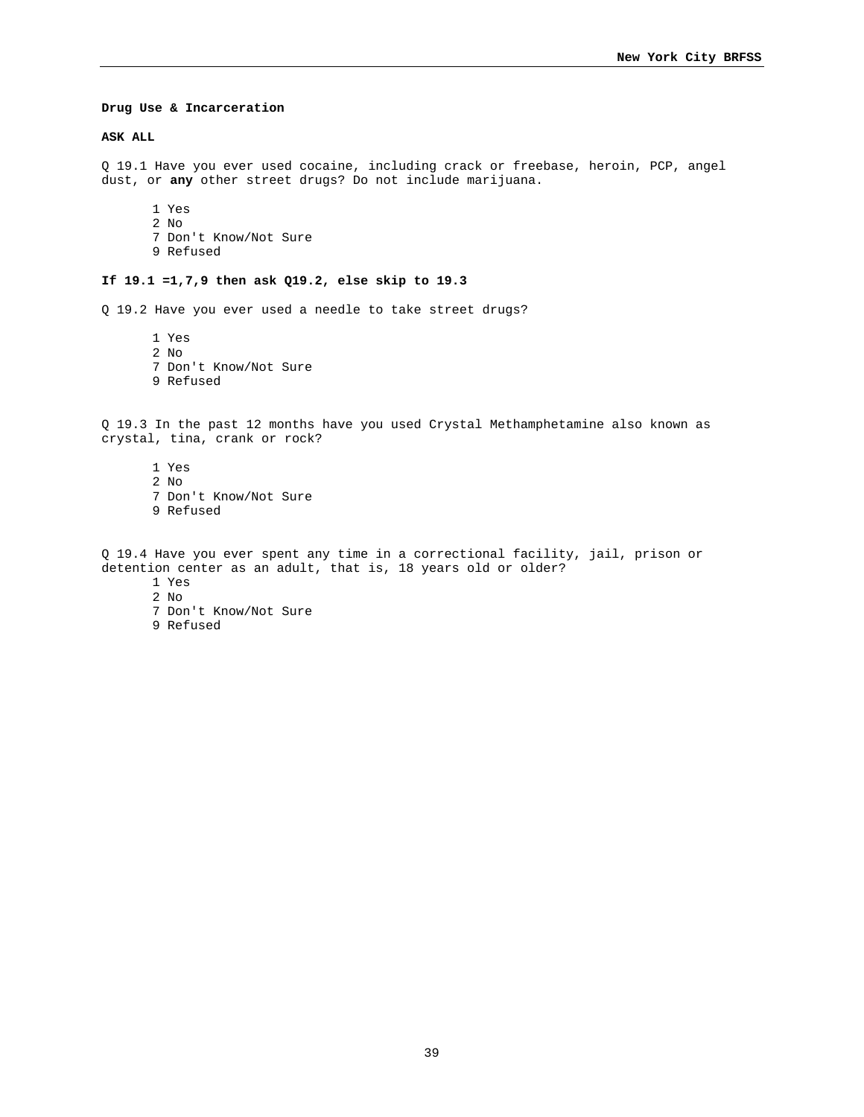#### **Drug Use & Incarceration**

#### **ASK ALL**

Q 19.1 Have you ever used cocaine, including crack or freebase, heroin, PCP, angel dust, or **any** other street drugs? Do not include marijuana.

1 Yes 2 No 7 Don't Know/Not Sure 9 Refused

### **If 19.1 =1,7,9 then ask Q19.2, else skip to 19.3**

Q 19.2 Have you ever used a needle to take street drugs?

1 Yes 2 No 7 Don't Know/Not Sure 9 Refused

Q 19.3 In the past 12 months have you used Crystal Methamphetamine also known as crystal, tina, crank or rock?

1 Yes 2 No 7 Don't Know/Not Sure 9 Refused

Q 19.4 Have you ever spent any time in a correctional facility, jail, prison or detention center as an adult, that is, 18 years old or older? 1 Yes

2 No

- 7 Don't Know/Not Sure
- 9 Refused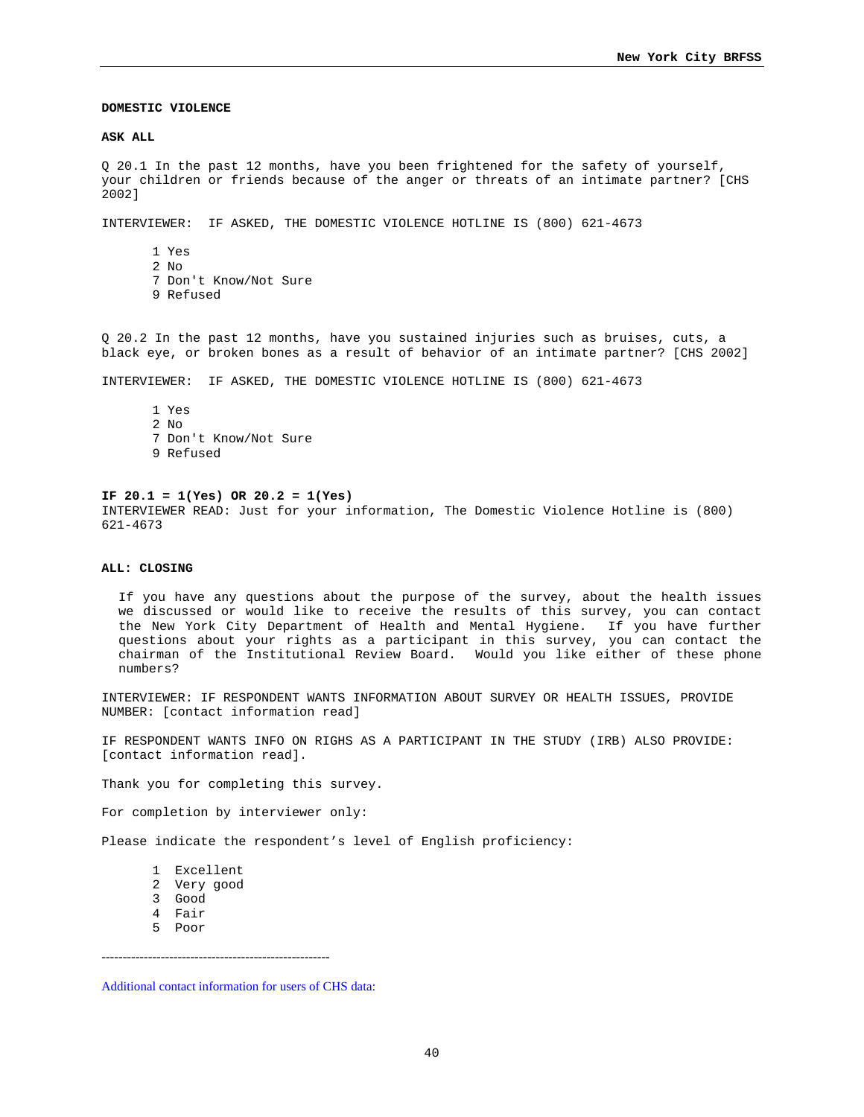## **DOMESTIC VIOLENCE**

#### **ASK ALL**

Q 20.1 In the past 12 months, have you been frightened for the safety of yourself, your children or friends because of the anger or threats of an intimate partner? [CHS 2002]

INTERVIEWER: IF ASKED, THE DOMESTIC VIOLENCE HOTLINE IS (800) 621-4673

1 Yes 2 No 7 Don't Know/Not Sure 9 Refused

Q 20.2 In the past 12 months, have you sustained injuries such as bruises, cuts, a black eye, or broken bones as a result of behavior of an intimate partner? [CHS 2002]

INTERVIEWER: IF ASKED, THE DOMESTIC VIOLENCE HOTLINE IS (800) 621-4673

1 Yes 2 No 7 Don't Know/Not Sure 9 Refused

# **IF 20.1 = 1(Yes) OR 20.2 = 1(Yes)**

INTERVIEWER READ: Just for your information, The Domestic Violence Hotline is (800) 621-4673

#### **ALL: CLOSING**

If you have any questions about the purpose of the survey, about the health issues we discussed or would like to receive the results of this survey, you can contact the New York City Department of Health and Mental Hygiene. If you have further questions about your rights as a participant in this survey, you can contact the chairman of the Institutional Review Board. Would you like either of these phone numbers?

INTERVIEWER: IF RESPONDENT WANTS INFORMATION ABOUT SURVEY OR HEALTH ISSUES, PROVIDE NUMBER: [contact information read]

IF RESPONDENT WANTS INFO ON RIGHS AS A PARTICIPANT IN THE STUDY (IRB) ALSO PROVIDE: [contact information read].

Thank you for completing this survey.

For completion by interviewer only:

Please indicate the respondent's level of English proficiency:

- 1 Excellent
- 2 Very good
- 3 Good
- 4 Fair
- 5 Poor

------------------------------------------------------

Additional contact information for users of CHS data: